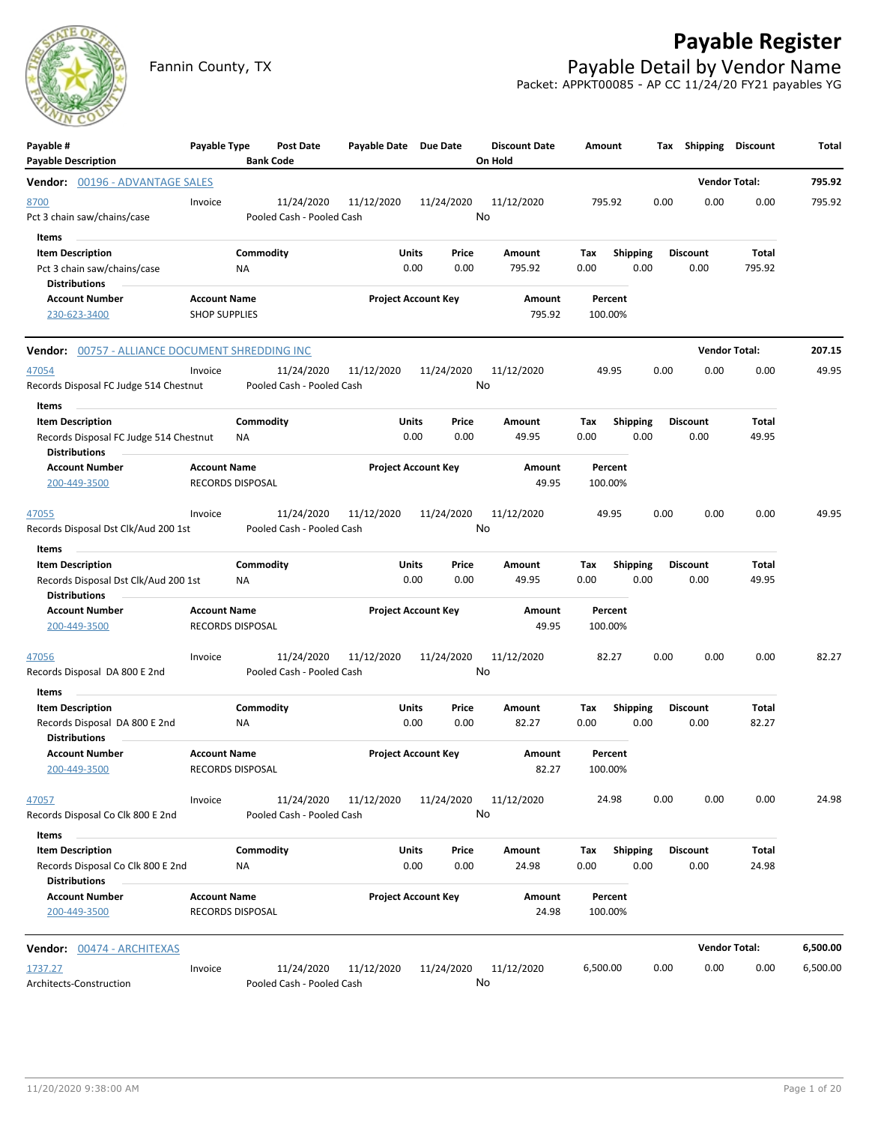# **Payable Register**



Fannin County, TX **Payable Detail by Vendor Name** Packet: APPKT00085 - AP CC 11/24/20 FY21 payables YG

| Payable #<br><b>Payable Description</b>                                                            | Payable Type                                   | Post Date<br><b>Bank Code</b>           | Payable Date Due Date |                            | <b>Discount Date</b><br>On Hold | Amount             |                         | Shipping<br>Tax         | Discount             | Total    |
|----------------------------------------------------------------------------------------------------|------------------------------------------------|-----------------------------------------|-----------------------|----------------------------|---------------------------------|--------------------|-------------------------|-------------------------|----------------------|----------|
| <b>Vendor:</b> 00196 - ADVANTAGE SALES                                                             |                                                |                                         |                       |                            |                                 |                    |                         |                         | <b>Vendor Total:</b> | 795.92   |
| 8700<br>Pct 3 chain saw/chains/case                                                                | Invoice                                        | 11/24/2020<br>Pooled Cash - Pooled Cash | 11/12/2020            | 11/24/2020                 | 11/12/2020<br>No                | 795.92             |                         | 0.00<br>0.00            | 0.00                 | 795.92   |
| Items<br><b>Item Description</b><br>Pct 3 chain saw/chains/case<br><b>Distributions</b>            | ΝA                                             | Commodity                               | Units                 | Price<br>0.00<br>0.00      | Amount<br>795.92                | Tax<br>0.00        | <b>Shipping</b><br>0.00 | <b>Discount</b><br>0.00 | Total<br>795.92      |          |
| <b>Account Number</b><br>230-623-3400                                                              | <b>Account Name</b><br><b>SHOP SUPPLIES</b>    |                                         |                       | <b>Project Account Key</b> | Amount<br>795.92                | Percent<br>100.00% |                         |                         |                      |          |
| Vendor: 00757 - ALLIANCE DOCUMENT SHREDDING INC                                                    |                                                |                                         |                       |                            |                                 |                    |                         |                         | <b>Vendor Total:</b> | 207.15   |
| 47054<br>Records Disposal FC Judge 514 Chestnut                                                    | Invoice                                        | 11/24/2020<br>Pooled Cash - Pooled Cash | 11/12/2020            | 11/24/2020                 | 11/12/2020<br>No                | 49.95              |                         | 0.00<br>0.00            | 0.00                 | 49.95    |
| Items<br><b>Item Description</b><br>Records Disposal FC Judge 514 Chestnut<br><b>Distributions</b> | NA                                             | Commodity                               | Units                 | Price<br>0.00<br>0.00      | Amount<br>49.95                 | Tax<br>0.00        | Shipping<br>0.00        | <b>Discount</b><br>0.00 | Total<br>49.95       |          |
| <b>Account Number</b><br>200-449-3500                                                              | <b>Account Name</b><br><b>RECORDS DISPOSAL</b> |                                         |                       | <b>Project Account Key</b> | Amount<br>49.95                 | Percent<br>100.00% |                         |                         |                      |          |
| 47055<br>Records Disposal Dst Clk/Aud 200 1st                                                      | Invoice                                        | 11/24/2020<br>Pooled Cash - Pooled Cash | 11/12/2020            | 11/24/2020                 | 11/12/2020<br>No                | 49.95              |                         | 0.00<br>0.00            | 0.00                 | 49.95    |
| Items<br><b>Item Description</b>                                                                   |                                                | Commodity                               | Units                 | Price                      | Amount                          | Tax                | <b>Shipping</b>         | Discount                | Total                |          |
| Records Disposal Dst Clk/Aud 200 1st<br><b>Distributions</b>                                       | ΝA                                             |                                         |                       | 0.00<br>0.00               | 49.95                           | 0.00               | 0.00                    | 0.00                    | 49.95                |          |
| <b>Account Number</b><br>200-449-3500                                                              | <b>Account Name</b><br><b>RECORDS DISPOSAL</b> |                                         |                       | <b>Project Account Key</b> | Amount<br>49.95                 | Percent<br>100.00% |                         |                         |                      |          |
| 47056<br>Records Disposal DA 800 E 2nd                                                             | Invoice                                        | 11/24/2020<br>Pooled Cash - Pooled Cash | 11/12/2020            | 11/24/2020                 | 11/12/2020<br>No                | 82.27              |                         | 0.00<br>0.00            | 0.00                 | 82.27    |
| Items<br><b>Item Description</b>                                                                   |                                                | Commodity                               | Units                 | Price                      | Amount                          | Tax                | <b>Shipping</b>         | <b>Discount</b>         | Total                |          |
| Records Disposal DA 800 E 2nd<br><b>Distributions</b>                                              | <b>NA</b>                                      |                                         |                       | 0.00<br>0.00               | 82.27                           | 0.00               | 0.00                    | 0.00                    | 82.27                |          |
| <b>Account Number</b><br>200-449-3500                                                              | <b>Account Name</b><br>RECORDS DISPOSAL        |                                         |                       | <b>Project Account Key</b> | Amount<br>82.27                 | Percent<br>100.00% |                         |                         |                      |          |
| 47057<br>Records Disposal Co Clk 800 E 2nd                                                         | Invoice                                        | 11/24/2020<br>Pooled Cash - Pooled Cash | 11/12/2020            | 11/24/2020                 | 11/12/2020<br>No                | 24.98              |                         | 0.00<br>0.00            | 0.00                 | 24.98    |
| Items<br><b>Item Description</b>                                                                   |                                                | Commodity                               | Units                 | Price                      | Amount                          | Tax                | Shipping                | <b>Discount</b>         | <b>Total</b>         |          |
| Records Disposal Co Clk 800 E 2nd<br><b>Distributions</b>                                          | ΝA                                             |                                         |                       | 0.00<br>0.00               | 24.98                           | 0.00               | 0.00                    | 0.00                    | 24.98                |          |
| <b>Account Number</b><br>200-449-3500                                                              | <b>Account Name</b><br>RECORDS DISPOSAL        |                                         |                       | <b>Project Account Key</b> | Amount<br>24.98                 | Percent<br>100.00% |                         |                         |                      |          |
| Vendor: 00474 - ARCHITEXAS                                                                         |                                                |                                         |                       |                            |                                 |                    |                         |                         | <b>Vendor Total:</b> | 6,500.00 |
| 1737.27<br>Architects-Construction                                                                 | Invoice                                        | 11/24/2020<br>Pooled Cash - Pooled Cash | 11/12/2020            | 11/24/2020                 | 11/12/2020<br>No                | 6,500.00           |                         | 0.00<br>0.00            | 0.00                 | 6,500.00 |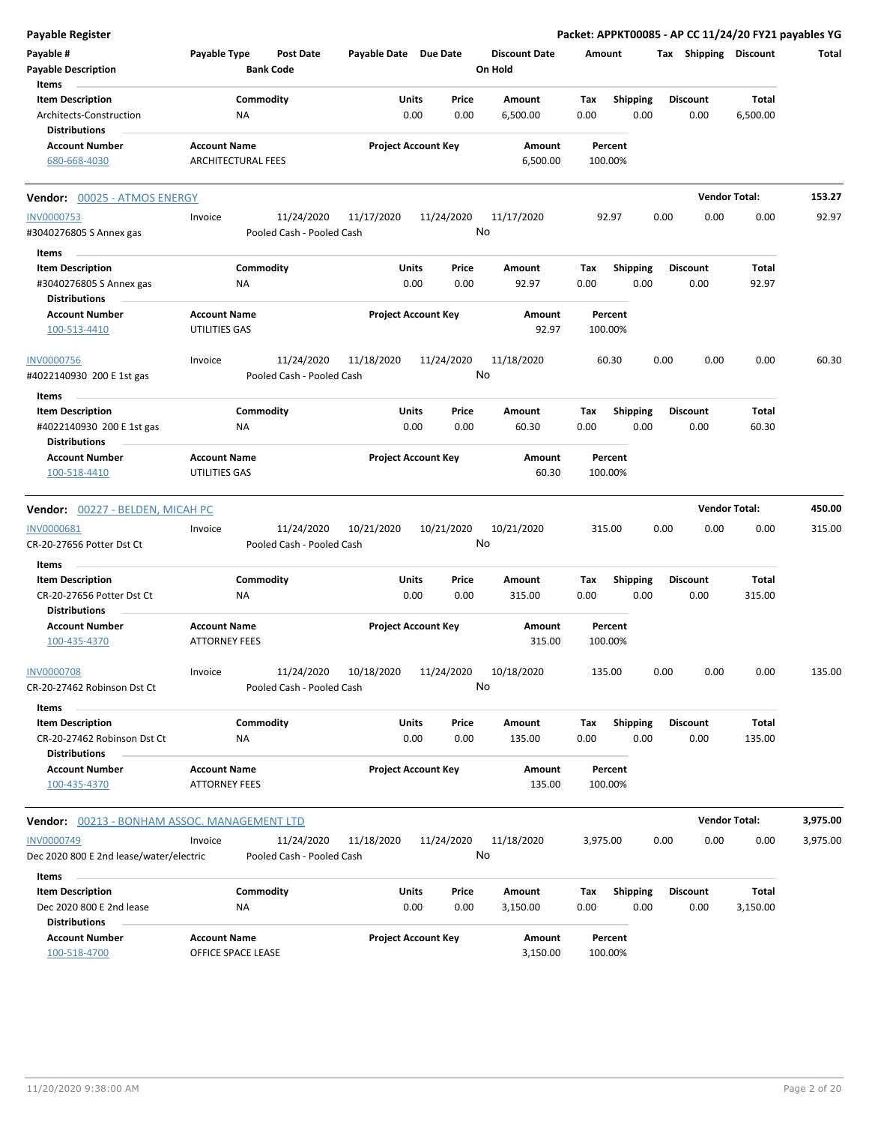| <b>Payable Register</b>                             |                                                      |                       |                            |                                 |                    |                 | Packet: APPKT00085 - AP CC 11/24/20 FY21 payables YG |                      |          |
|-----------------------------------------------------|------------------------------------------------------|-----------------------|----------------------------|---------------------------------|--------------------|-----------------|------------------------------------------------------|----------------------|----------|
| Payable #<br><b>Payable Description</b>             | Payable Type<br><b>Post Date</b><br><b>Bank Code</b> | Payable Date Due Date |                            | <b>Discount Date</b><br>On Hold | Amount             |                 | Tax Shipping Discount                                |                      | Total    |
| Items                                               |                                                      |                       |                            |                                 |                    |                 |                                                      |                      |          |
| <b>Item Description</b>                             | Commodity                                            | Units                 | Price                      | Amount                          | Tax                | Shipping        | <b>Discount</b>                                      | Total                |          |
| Architects-Construction<br><b>Distributions</b>     | NA                                                   |                       | 0.00<br>0.00               | 6,500.00                        | 0.00               | 0.00            | 0.00                                                 | 6,500.00             |          |
| <b>Account Number</b>                               | <b>Account Name</b>                                  |                       | <b>Project Account Key</b> | Amount                          | Percent            |                 |                                                      |                      |          |
| 680-668-4030                                        | <b>ARCHITECTURAL FEES</b>                            |                       |                            | 6,500.00                        | 100.00%            |                 |                                                      |                      |          |
| Vendor: 00025 - ATMOS ENERGY                        |                                                      |                       |                            |                                 |                    |                 |                                                      | <b>Vendor Total:</b> | 153.27   |
| <b>INV0000753</b>                                   | 11/24/2020<br>Invoice                                | 11/17/2020            | 11/24/2020                 | 11/17/2020                      | 92.97              |                 | 0.00<br>0.00                                         | 0.00                 | 92.97    |
| #3040276805 S Annex gas                             | Pooled Cash - Pooled Cash                            |                       |                            | No                              |                    |                 |                                                      |                      |          |
| Items                                               |                                                      |                       |                            |                                 |                    |                 |                                                      |                      |          |
| <b>Item Description</b>                             | Commodity                                            | Units                 | Price                      | Amount                          | Tax                | <b>Shipping</b> | <b>Discount</b>                                      | Total                |          |
| #3040276805 S Annex gas<br><b>Distributions</b>     | ΝA                                                   |                       | 0.00<br>0.00               | 92.97                           | 0.00               | 0.00            | 0.00                                                 | 92.97                |          |
| <b>Account Number</b>                               | <b>Account Name</b>                                  |                       | <b>Project Account Key</b> | Amount                          | Percent            |                 |                                                      |                      |          |
| 100-513-4410                                        | UTILITIES GAS                                        |                       |                            | 92.97                           | 100.00%            |                 |                                                      |                      |          |
| <b>INV0000756</b>                                   | 11/24/2020<br>Invoice                                | 11/18/2020            | 11/24/2020                 | 11/18/2020                      | 60.30              |                 | 0.00<br>0.00                                         | 0.00                 | 60.30    |
| #4022140930 200 E 1st gas                           | Pooled Cash - Pooled Cash                            |                       |                            | No                              |                    |                 |                                                      |                      |          |
| Items                                               |                                                      |                       |                            |                                 |                    |                 |                                                      |                      |          |
| <b>Item Description</b>                             | Commodity                                            | Units                 | Price                      | Amount                          | Tax                | <b>Shipping</b> | <b>Discount</b>                                      | Total                |          |
| #4022140930 200 E 1st gas<br><b>Distributions</b>   | ΝA                                                   |                       | 0.00<br>0.00               | 60.30                           | 0.00               | 0.00            | 0.00                                                 | 60.30                |          |
| <b>Account Number</b>                               | <b>Account Name</b>                                  |                       | <b>Project Account Key</b> | Amount                          | Percent            |                 |                                                      |                      |          |
| 100-518-4410                                        | UTILITIES GAS                                        |                       |                            | 60.30                           | 100.00%            |                 |                                                      |                      |          |
| Vendor: 00227 - BELDEN, MICAH PC                    |                                                      |                       |                            |                                 |                    |                 |                                                      | <b>Vendor Total:</b> | 450.00   |
| INV0000681                                          | 11/24/2020<br>Invoice                                | 10/21/2020            | 10/21/2020                 | 10/21/2020                      | 315.00             |                 | 0.00<br>0.00                                         | 0.00                 | 315.00   |
| CR-20-27656 Potter Dst Ct                           | Pooled Cash - Pooled Cash                            |                       |                            | No                              |                    |                 |                                                      |                      |          |
| Items                                               |                                                      |                       |                            |                                 |                    |                 |                                                      |                      |          |
| <b>Item Description</b>                             | Commodity                                            | Units                 | Price                      | Amount                          | Tax                | <b>Shipping</b> | <b>Discount</b>                                      | Total                |          |
| CR-20-27656 Potter Dst Ct<br><b>Distributions</b>   | NA                                                   |                       | 0.00<br>0.00               | 315.00                          | 0.00               | 0.00            | 0.00                                                 | 315.00               |          |
| <b>Account Number</b>                               | <b>Account Name</b>                                  |                       | <b>Project Account Key</b> | Amount                          | Percent            |                 |                                                      |                      |          |
| 100-435-4370                                        | <b>ATTORNEY FEES</b>                                 |                       |                            | 315.00                          | 100.00%            |                 |                                                      |                      |          |
| <b>INV0000708</b><br>CR-20-27462 Robinson Dst Ct    | Invoice<br>11/24/2020<br>Pooled Cash - Pooled Cash   | 10/18/2020            | 11/24/2020                 | 10/18/2020<br>No                | 135.00             |                 | 0.00<br>0.00                                         | 0.00                 | 135.00   |
| Items                                               |                                                      |                       |                            |                                 |                    |                 |                                                      |                      |          |
| <b>Item Description</b>                             | Commodity                                            | Units                 | Price                      | Amount                          | Tax                | Shipping        | <b>Discount</b>                                      | Total                |          |
| CR-20-27462 Robinson Dst Ct                         | ΝA                                                   |                       | 0.00<br>0.00               | 135.00                          | 0.00               | 0.00            | 0.00                                                 | 135.00               |          |
| <b>Distributions</b>                                |                                                      |                       |                            |                                 |                    |                 |                                                      |                      |          |
| <b>Account Number</b><br>100-435-4370               | <b>Account Name</b><br><b>ATTORNEY FEES</b>          |                       | <b>Project Account Key</b> | Amount<br>135.00                | Percent<br>100.00% |                 |                                                      |                      |          |
| <b>Vendor: 00213 - BONHAM ASSOC. MANAGEMENT LTD</b> |                                                      |                       |                            |                                 |                    |                 |                                                      | <b>Vendor Total:</b> | 3,975.00 |
| <b>INV0000749</b>                                   | 11/24/2020<br>Invoice                                | 11/18/2020            | 11/24/2020                 | 11/18/2020                      | 3,975.00           |                 | 0.00<br>0.00                                         | 0.00                 | 3,975.00 |
| Dec 2020 800 E 2nd lease/water/electric             | Pooled Cash - Pooled Cash                            |                       |                            | No                              |                    |                 |                                                      |                      |          |
| Items                                               |                                                      |                       |                            |                                 |                    |                 |                                                      |                      |          |
| <b>Item Description</b>                             | Commodity                                            | Units                 | Price                      | Amount                          | Tax                | <b>Shipping</b> | <b>Discount</b>                                      | Total                |          |
| Dec 2020 800 E 2nd lease<br><b>Distributions</b>    | NA                                                   |                       | 0.00<br>0.00               | 3,150.00                        | 0.00               | 0.00            | 0.00                                                 | 3,150.00             |          |
| <b>Account Number</b>                               | <b>Account Name</b>                                  |                       | <b>Project Account Key</b> | Amount                          | Percent            |                 |                                                      |                      |          |
| 100-518-4700                                        | OFFICE SPACE LEASE                                   |                       |                            | 3,150.00                        | 100.00%            |                 |                                                      |                      |          |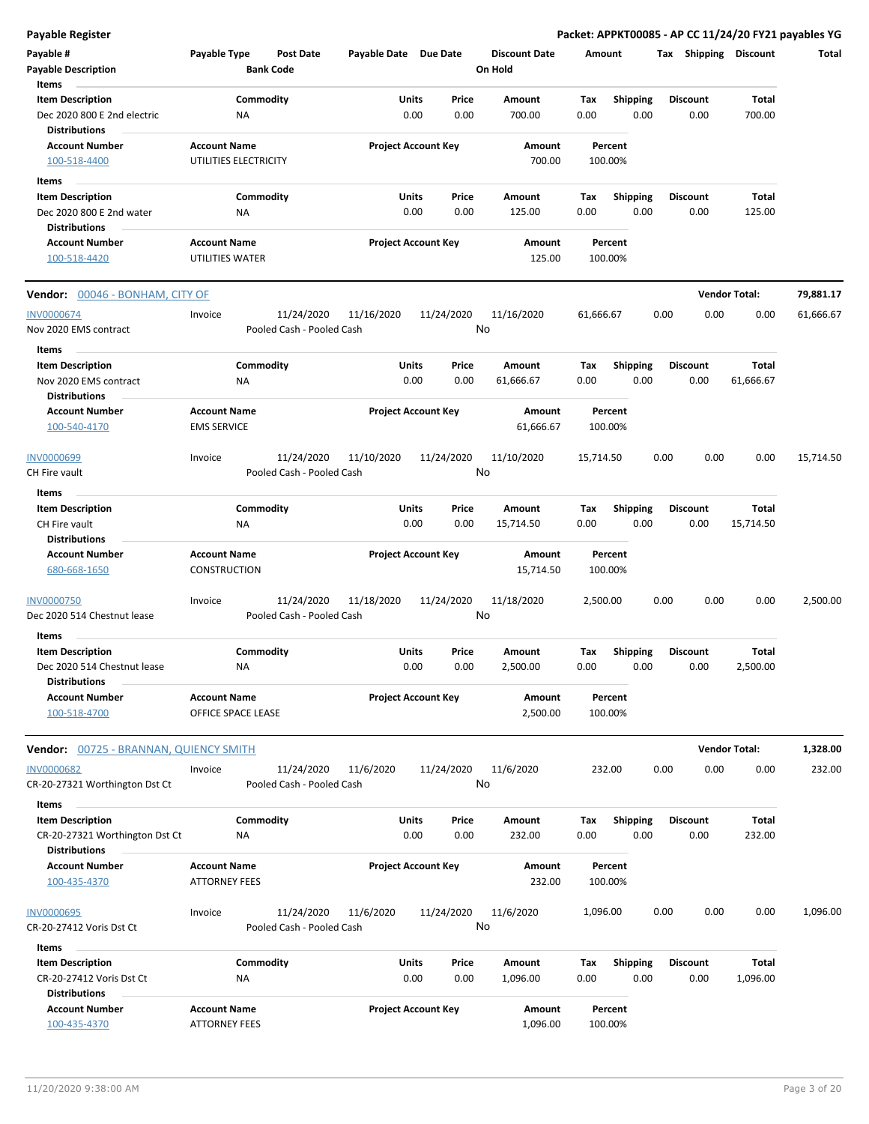**Payable Register Packet: APPKT00085 - AP CC 11/24/20 FY21 payables YG**

| Payable #<br><b>Payable Description</b>                                           | Payable Type                                 | Post Date<br><b>Bank Code</b>           | Payable Date Due Date |                            | <b>Discount Date</b><br>On Hold | Amount             |                         |      | Tax Shipping            | <b>Discount</b>      | Total     |
|-----------------------------------------------------------------------------------|----------------------------------------------|-----------------------------------------|-----------------------|----------------------------|---------------------------------|--------------------|-------------------------|------|-------------------------|----------------------|-----------|
| Items<br><b>Item Description</b><br>Dec 2020 800 E 2nd electric                   | NA                                           | Commodity                               | Units                 | Price<br>0.00<br>0.00      | Amount<br>700.00                | Tax<br>0.00        | <b>Shipping</b><br>0.00 |      | <b>Discount</b><br>0.00 | Total<br>700.00      |           |
| <b>Distributions</b><br><b>Account Number</b><br>100-518-4400                     | <b>Account Name</b><br>UTILITIES ELECTRICITY |                                         |                       | <b>Project Account Key</b> | Amount<br>700.00                | Percent<br>100.00% |                         |      |                         |                      |           |
|                                                                                   |                                              |                                         |                       |                            |                                 |                    |                         |      |                         |                      |           |
| Items<br><b>Item Description</b>                                                  |                                              | Commodity                               | Units                 | Price                      | Amount                          | Tax                | Shipping                |      | <b>Discount</b>         | Total                |           |
| Dec 2020 800 E 2nd water<br><b>Distributions</b>                                  | ΝA                                           |                                         |                       | 0.00<br>0.00               | 125.00                          | 0.00               | 0.00                    |      | 0.00                    | 125.00               |           |
| <b>Account Number</b><br>100-518-4420                                             | <b>Account Name</b><br>UTILITIES WATER       |                                         |                       | <b>Project Account Key</b> | Amount<br>125.00                | Percent<br>100.00% |                         |      |                         |                      |           |
| Vendor: 00046 - BONHAM, CITY OF                                                   |                                              |                                         |                       |                            |                                 |                    |                         |      |                         | <b>Vendor Total:</b> | 79,881.17 |
| INV0000674<br>Nov 2020 EMS contract                                               | Invoice                                      | 11/24/2020<br>Pooled Cash - Pooled Cash | 11/16/2020            | 11/24/2020                 | 11/16/2020<br>No                | 61,666.67          |                         | 0.00 | 0.00                    | 0.00                 | 61,666.67 |
| Items<br><b>Item Description</b>                                                  |                                              | Commodity                               | Units                 | Price                      | Amount                          | Tax                | <b>Shipping</b>         |      | <b>Discount</b>         | Total                |           |
| Nov 2020 EMS contract<br><b>Distributions</b>                                     | ΝA                                           |                                         |                       | 0.00<br>0.00               | 61,666.67                       | 0.00               | 0.00                    |      | 0.00                    | 61,666.67            |           |
| <b>Account Number</b><br>100-540-4170                                             | <b>Account Name</b><br><b>EMS SERVICE</b>    |                                         |                       | <b>Project Account Key</b> | Amount<br>61,666.67             | Percent<br>100.00% |                         |      |                         |                      |           |
| INV0000699<br>CH Fire vault                                                       | Invoice                                      | 11/24/2020<br>Pooled Cash - Pooled Cash | 11/10/2020            | 11/24/2020                 | 11/10/2020<br>No                | 15,714.50          |                         | 0.00 | 0.00                    | 0.00                 | 15,714.50 |
| Items                                                                             |                                              |                                         |                       |                            |                                 |                    |                         |      |                         |                      |           |
| <b>Item Description</b><br>CH Fire vault                                          | NA                                           | Commodity                               | Units                 | Price<br>0.00<br>0.00      | Amount<br>15,714.50             | Tax<br>0.00        | <b>Shipping</b><br>0.00 |      | Discount<br>0.00        | Total<br>15,714.50   |           |
| <b>Distributions</b>                                                              |                                              |                                         |                       |                            |                                 |                    |                         |      |                         |                      |           |
| <b>Account Number</b><br>680-668-1650                                             | <b>Account Name</b><br><b>CONSTRUCTION</b>   |                                         |                       | <b>Project Account Key</b> | Amount<br>15,714.50             | Percent<br>100.00% |                         |      |                         |                      |           |
| <b>INV0000750</b><br>Dec 2020 514 Chestnut lease                                  | Invoice                                      | 11/24/2020<br>Pooled Cash - Pooled Cash | 11/18/2020            | 11/24/2020                 | 11/18/2020<br>No                | 2,500.00           |                         | 0.00 | 0.00                    | 0.00                 | 2,500.00  |
| Items<br><b>Item Description</b>                                                  |                                              |                                         | Units                 | Price                      |                                 |                    |                         |      | <b>Discount</b>         |                      |           |
| Dec 2020 514 Chestnut lease<br><b>Distributions</b>                               | ΝA                                           | Commodity                               |                       | 0.00<br>0.00               | Amount<br>2,500.00              | Tax<br>0.00        | <b>Shipping</b><br>0.00 |      | 0.00                    | Total<br>2,500.00    |           |
| <b>Account Number</b><br>100-518-4700                                             | <b>Account Name</b><br>OFFICE SPACE LEASE    |                                         |                       | <b>Project Account Key</b> | Amount<br>2,500.00              | Percent<br>100.00% |                         |      |                         |                      |           |
| <b>Vendor:</b> 00725 - BRANNAN, QUIENCY SMITH                                     |                                              |                                         |                       |                            |                                 |                    |                         |      |                         | <b>Vendor Total:</b> | 1,328.00  |
| <b>INV0000682</b><br>CR-20-27321 Worthington Dst Ct                               | Invoice                                      | 11/24/2020<br>Pooled Cash - Pooled Cash | 11/6/2020             | 11/24/2020                 | 11/6/2020<br>No                 | 232.00             |                         | 0.00 | 0.00                    | 0.00                 | 232.00    |
| Items                                                                             |                                              |                                         |                       |                            |                                 |                    |                         |      |                         |                      |           |
| <b>Item Description</b><br>CR-20-27321 Worthington Dst Ct<br><b>Distributions</b> | ΝA                                           | Commodity                               | Units                 | Price<br>0.00<br>0.00      | Amount<br>232.00                | Tax<br>0.00        | <b>Shipping</b><br>0.00 |      | <b>Discount</b><br>0.00 | Total<br>232.00      |           |
| <b>Account Number</b><br>100-435-4370                                             | <b>Account Name</b><br><b>ATTORNEY FEES</b>  |                                         |                       | <b>Project Account Key</b> | Amount<br>232.00                | Percent<br>100.00% |                         |      |                         |                      |           |
| INV0000695<br>CR-20-27412 Voris Dst Ct                                            | Invoice                                      | 11/24/2020<br>Pooled Cash - Pooled Cash | 11/6/2020             | 11/24/2020                 | 11/6/2020<br>No                 | 1,096.00           |                         | 0.00 | 0.00                    | 0.00                 | 1,096.00  |
| Items                                                                             |                                              |                                         |                       |                            |                                 |                    |                         |      |                         |                      |           |
| <b>Item Description</b><br>CR-20-27412 Voris Dst Ct<br><b>Distributions</b>       | NA                                           | Commodity                               | Units                 | Price<br>0.00<br>0.00      | Amount<br>1,096.00              | Tax<br>0.00        | <b>Shipping</b><br>0.00 |      | <b>Discount</b><br>0.00 | Total<br>1,096.00    |           |
| <b>Account Number</b><br>100-435-4370                                             | <b>Account Name</b><br><b>ATTORNEY FEES</b>  |                                         |                       | <b>Project Account Key</b> | Amount<br>1,096.00              | Percent<br>100.00% |                         |      |                         |                      |           |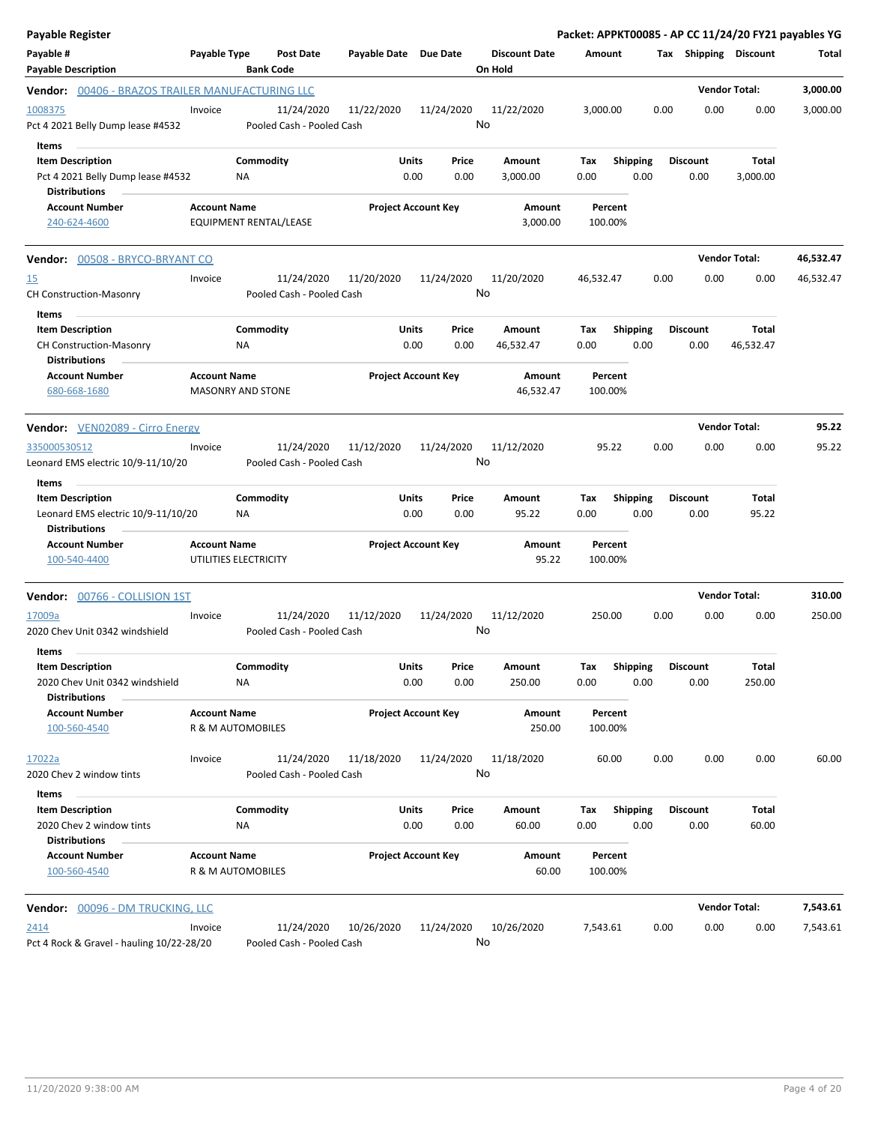| Payable Register                                                                              |                     |                                         |                       |                                | Packet: APPKT00085 - AP CC 11/24/20 FY21 payables YG |                    |                         |                   |      |                       |           |
|-----------------------------------------------------------------------------------------------|---------------------|-----------------------------------------|-----------------------|--------------------------------|------------------------------------------------------|--------------------|-------------------------|-------------------|------|-----------------------|-----------|
| Payable #<br><b>Payable Description</b>                                                       | Payable Type        | <b>Post Date</b><br><b>Bank Code</b>    | Payable Date Due Date |                                | <b>Discount Date</b><br>On Hold                      | Amount             |                         |                   |      | Tax Shipping Discount | Total     |
| Vendor: 00406 - BRAZOS TRAILER MANUFACTURING LLC                                              |                     |                                         |                       |                                |                                                      |                    |                         |                   |      | <b>Vendor Total:</b>  | 3,000.00  |
| 1008375<br>Pct 4 2021 Belly Dump lease #4532                                                  | Invoice             | 11/24/2020<br>Pooled Cash - Pooled Cash | 11/22/2020            | 11/24/2020                     | 11/22/2020<br>No                                     | 3,000.00           |                         | 0.00              | 0.00 | 0.00                  | 3,000.00  |
| Items<br><b>Item Description</b><br>Pct 4 2021 Belly Dump lease #4532<br><b>Distributions</b> |                     | Commodity<br>ΝA                         |                       | Units<br>Price<br>0.00<br>0.00 | Amount<br>3,000.00                                   | Tax<br>0.00        | <b>Shipping</b><br>0.00 | <b>Discount</b>   | 0.00 | Total<br>3,000.00     |           |
| <b>Account Number</b><br>240-624-4600                                                         | <b>Account Name</b> | <b>EQUIPMENT RENTAL/LEASE</b>           |                       | <b>Project Account Key</b>     | Amount<br>3,000.00                                   | Percent<br>100.00% |                         |                   |      |                       |           |
| Vendor: 00508 - BRYCO-BRYANT CO                                                               |                     |                                         |                       |                                |                                                      |                    |                         |                   |      | <b>Vendor Total:</b>  | 46,532.47 |
| <u>15</u><br><b>CH Construction-Masonry</b>                                                   | Invoice             | 11/24/2020<br>Pooled Cash - Pooled Cash | 11/20/2020            | 11/24/2020                     | 11/20/2020<br>No                                     | 46,532.47          |                         | 0.00              | 0.00 | 0.00                  | 46,532.47 |
| Items<br><b>Item Description</b><br><b>CH Construction-Masonry</b><br><b>Distributions</b>    |                     | Commodity<br>NA                         |                       | Units<br>Price<br>0.00<br>0.00 | Amount<br>46,532.47                                  | Tax<br>0.00        | <b>Shipping</b><br>0.00 | <b>Discount</b>   | 0.00 | Total<br>46,532.47    |           |
| <b>Account Number</b><br>680-668-1680                                                         | <b>Account Name</b> | MASONRY AND STONE                       |                       | <b>Project Account Key</b>     | Amount<br>46,532.47                                  | Percent<br>100.00% |                         |                   |      |                       |           |
| <b>Vendor:</b> VEN02089 - Cirro Energy                                                        |                     |                                         |                       |                                |                                                      |                    |                         |                   |      | <b>Vendor Total:</b>  | 95.22     |
| 335000530512<br>Leonard EMS electric 10/9-11/10/20                                            | Invoice             | 11/24/2020<br>Pooled Cash - Pooled Cash | 11/12/2020            | 11/24/2020                     | 11/12/2020<br>No                                     | 95.22              |                         | 0.00              | 0.00 | 0.00                  | 95.22     |
| Items                                                                                         |                     |                                         |                       |                                |                                                      |                    |                         |                   |      |                       |           |
| <b>Item Description</b><br>Leonard EMS electric 10/9-11/10/20<br><b>Distributions</b>         |                     | Commodity<br><b>NA</b>                  |                       | Units<br>Price<br>0.00<br>0.00 | Amount<br>95.22                                      | Tax<br>0.00        | <b>Shipping</b><br>0.00 | <b>Discount</b>   | 0.00 | Total<br>95.22        |           |
| <b>Account Number</b><br>100-540-4400                                                         | <b>Account Name</b> | UTILITIES ELECTRICITY                   |                       | <b>Project Account Key</b>     | Amount<br>95.22                                      | Percent<br>100.00% |                         |                   |      |                       |           |
| Vendor: 00766 - COLLISION 1ST                                                                 |                     |                                         |                       |                                |                                                      |                    |                         |                   |      | <b>Vendor Total:</b>  | 310.00    |
| 17009a<br>2020 Chev Unit 0342 windshield                                                      | Invoice             | 11/24/2020<br>Pooled Cash - Pooled Cash | 11/12/2020            | 11/24/2020                     | 11/12/2020<br>No                                     | 250.00             |                         | 0.00              | 0.00 | 0.00                  | 250.00    |
| Items<br><b>Item Description</b><br>2020 Chev Unit 0342 windshield<br><b>Distributions</b>    |                     | Commodity<br>NA                         |                       | Units<br>Price<br>0.00<br>0.00 | Amount<br>250.00                                     | Tax<br>0.00        | 0.00                    | Shipping Discount | 0.00 | Total<br>250.00       |           |
| <b>Account Number</b><br>100-560-4540                                                         | <b>Account Name</b> | R & M AUTOMOBILES                       |                       | <b>Project Account Key</b>     | Amount<br>250.00                                     | Percent<br>100.00% |                         |                   |      |                       |           |
| 17022a<br>2020 Chev 2 window tints                                                            | Invoice             | 11/24/2020<br>Pooled Cash - Pooled Cash | 11/18/2020            | 11/24/2020                     | 11/18/2020<br>No                                     | 60.00              |                         | 0.00              | 0.00 | 0.00                  | 60.00     |
| Items                                                                                         |                     |                                         |                       |                                |                                                      |                    |                         | <b>Discount</b>   |      |                       |           |
| <b>Item Description</b><br>2020 Chev 2 window tints<br><b>Distributions</b>                   |                     | Commodity<br>ΝA                         |                       | Units<br>Price<br>0.00<br>0.00 | Amount<br>60.00                                      | Tax<br>0.00        | Shipping<br>0.00        |                   | 0.00 | Total<br>60.00        |           |
| <b>Account Number</b><br>100-560-4540                                                         | <b>Account Name</b> | R & M AUTOMOBILES                       |                       | <b>Project Account Key</b>     | Amount<br>60.00                                      | Percent<br>100.00% |                         |                   |      |                       |           |
| Vendor: 00096 - DM TRUCKING, LLC                                                              |                     |                                         |                       |                                |                                                      |                    |                         |                   |      | <b>Vendor Total:</b>  | 7,543.61  |
| 2414<br>Pct 4 Rock & Gravel - hauling 10/22-28/20                                             | Invoice             | 11/24/2020<br>Pooled Cash - Pooled Cash | 10/26/2020            | 11/24/2020                     | 10/26/2020<br>No                                     | 7,543.61           |                         | 0.00              | 0.00 | 0.00                  | 7,543.61  |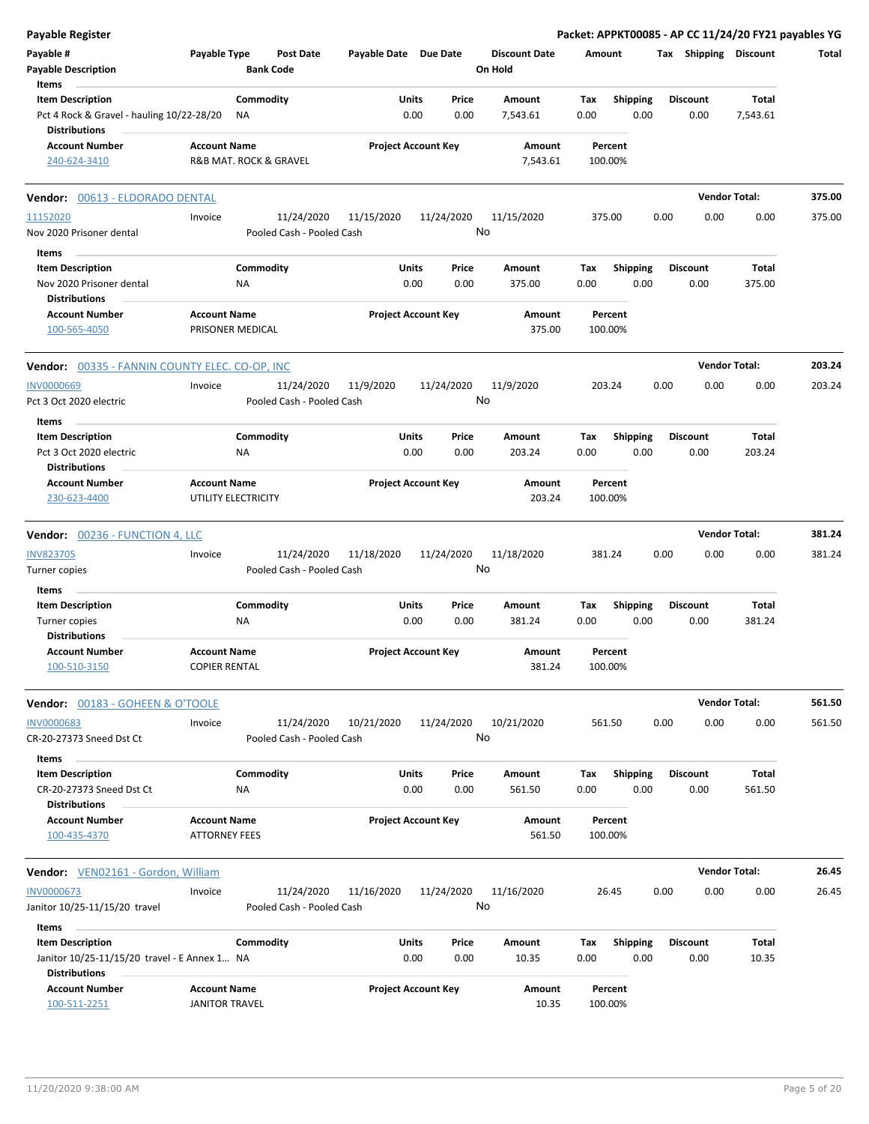| <b>Payable Register</b>                                              |                                              |                 |                                         |                            |               |                  |                                 |             |                         |      |                         | Packet: APPKT00085 - AP CC 11/24/20 FY21 payables YG |        |
|----------------------------------------------------------------------|----------------------------------------------|-----------------|-----------------------------------------|----------------------------|---------------|------------------|---------------------------------|-------------|-------------------------|------|-------------------------|------------------------------------------------------|--------|
| Payable #<br><b>Payable Description</b>                              | Payable Type                                 |                 | <b>Post Date</b><br><b>Bank Code</b>    | Payable Date Due Date      |               |                  | <b>Discount Date</b><br>On Hold | Amount      |                         |      | Tax Shipping Discount   |                                                      | Total  |
| Items<br><b>Item Description</b>                                     |                                              | Commodity       |                                         |                            | Units         | Price            | Amount                          | Tax         |                         |      | <b>Discount</b>         | Total                                                |        |
| Pct 4 Rock & Gravel - hauling 10/22-28/20<br><b>Distributions</b>    |                                              | ΝA              |                                         |                            | 0.00          | 0.00             | 7,543.61                        | 0.00        | <b>Shipping</b><br>0.00 |      | 0.00                    | 7,543.61                                             |        |
| <b>Account Number</b>                                                | <b>Account Name</b>                          |                 |                                         | <b>Project Account Key</b> |               |                  | Amount                          |             | Percent                 |      |                         |                                                      |        |
| 240-624-3410                                                         | R&B MAT. ROCK & GRAVEL                       |                 |                                         |                            |               |                  | 7,543.61                        |             | 100.00%                 |      |                         |                                                      |        |
| Vendor: 00613 - ELDORADO DENTAL                                      |                                              |                 |                                         |                            |               |                  |                                 |             |                         |      |                         | <b>Vendor Total:</b>                                 | 375.00 |
| 11152020                                                             | Invoice                                      |                 | 11/24/2020                              | 11/15/2020                 |               | 11/24/2020       | 11/15/2020                      |             | 375.00                  | 0.00 | 0.00                    | 0.00                                                 | 375.00 |
| Nov 2020 Prisoner dental                                             |                                              |                 | Pooled Cash - Pooled Cash               |                            |               | No               |                                 |             |                         |      |                         |                                                      |        |
| Items                                                                |                                              |                 |                                         |                            |               |                  |                                 |             |                         |      |                         |                                                      |        |
| <b>Item Description</b>                                              |                                              | Commodity       |                                         |                            | Units         | Price            | Amount                          | Tax         | <b>Shipping</b>         |      | <b>Discount</b>         | Total                                                |        |
| Nov 2020 Prisoner dental<br><b>Distributions</b>                     |                                              | NA              |                                         |                            | 0.00          | 0.00             | 375.00                          | 0.00        | 0.00                    |      | 0.00                    | 375.00                                               |        |
| <b>Account Number</b>                                                | <b>Account Name</b>                          |                 |                                         | <b>Project Account Key</b> |               |                  | Amount                          |             | Percent                 |      |                         |                                                      |        |
| 100-565-4050                                                         | PRISONER MEDICAL                             |                 |                                         |                            |               |                  | 375.00                          |             | 100.00%                 |      |                         |                                                      |        |
| <b>Vendor: 00335 - FANNIN COUNTY ELEC. CO-OP, INC</b>                |                                              |                 |                                         |                            |               |                  |                                 |             |                         |      |                         | <b>Vendor Total:</b>                                 | 203.24 |
| <b>INV0000669</b>                                                    | Invoice                                      |                 | 11/24/2020                              | 11/9/2020                  |               | 11/24/2020       | 11/9/2020                       | 203.24      |                         | 0.00 | 0.00                    | 0.00                                                 | 203.24 |
| Pct 3 Oct 2020 electric                                              |                                              |                 | Pooled Cash - Pooled Cash               |                            |               | No               |                                 |             |                         |      |                         |                                                      |        |
| Items                                                                |                                              |                 |                                         |                            |               |                  |                                 |             |                         |      |                         |                                                      |        |
| <b>Item Description</b>                                              |                                              | Commodity       |                                         |                            | Units         | Price            | Amount                          | Tax         | <b>Shipping</b>         |      | <b>Discount</b>         | Total                                                |        |
| Pct 3 Oct 2020 electric<br><b>Distributions</b>                      |                                              | ΝA              |                                         |                            | 0.00          | 0.00             | 203.24                          | 0.00        | 0.00                    |      | 0.00                    | 203.24                                               |        |
| <b>Account Number</b><br>230-623-4400                                | <b>Account Name</b><br>UTILITY ELECTRICITY   |                 |                                         | <b>Project Account Key</b> |               |                  | Amount<br>203.24                |             | Percent<br>100.00%      |      |                         |                                                      |        |
| <b>Vendor: 00236 - FUNCTION 4, LLC</b>                               |                                              |                 |                                         |                            |               |                  |                                 |             |                         |      |                         | <b>Vendor Total:</b>                                 | 381.24 |
| <b>INV823705</b>                                                     | Invoice                                      |                 | 11/24/2020                              | 11/18/2020                 |               | 11/24/2020       | 11/18/2020                      | 381.24      |                         | 0.00 | 0.00                    | 0.00                                                 | 381.24 |
| Turner copies                                                        |                                              |                 | Pooled Cash - Pooled Cash               |                            |               | No               |                                 |             |                         |      |                         |                                                      |        |
| Items                                                                |                                              |                 |                                         |                            |               |                  |                                 |             |                         |      |                         |                                                      |        |
| <b>Item Description</b>                                              |                                              | Commodity       |                                         |                            | Units         | Price            | Amount                          | Тах         | <b>Shipping</b>         |      | <b>Discount</b>         | Total                                                |        |
| Turner copies                                                        |                                              | <b>NA</b>       |                                         |                            | 0.00          | 0.00             | 381.24                          | 0.00        | 0.00                    |      | 0.00                    | 381.24                                               |        |
| <b>Distributions</b>                                                 |                                              |                 |                                         |                            |               |                  |                                 |             |                         |      |                         |                                                      |        |
| <b>Account Number</b><br>100-510-3150                                | <b>Account Name</b><br><b>COPIER RENTAL</b>  |                 |                                         | <b>Project Account Key</b> |               |                  | Amount<br>381.24                |             | Percent<br>100.00%      |      |                         |                                                      |        |
| Vendor: 00183 - GOHEEN & O'TOOLE                                     |                                              |                 |                                         |                            |               |                  |                                 |             |                         |      |                         | <b>Vendor Total:</b>                                 | 561.50 |
| <b>INV0000683</b><br>CR-20-27373 Sneed Dst Ct                        | Invoice                                      |                 | 11/24/2020<br>Pooled Cash - Pooled Cash | 10/21/2020                 |               | 11/24/2020<br>No | 10/21/2020                      |             | 561.50                  | 0.00 | 0.00                    | 0.00                                                 | 561.50 |
| Items                                                                |                                              |                 |                                         |                            |               |                  |                                 |             |                         |      |                         |                                                      |        |
| <b>Item Description</b><br>CR-20-27373 Sneed Dst Ct                  |                                              | Commodity<br>ΝA |                                         |                            | Units<br>0.00 | Price<br>0.00    | Amount<br>561.50                | Tax<br>0.00 | <b>Shipping</b><br>0.00 |      | <b>Discount</b><br>0.00 | Total<br>561.50                                      |        |
| <b>Distributions</b><br><b>Account Number</b>                        | <b>Account Name</b>                          |                 |                                         | <b>Project Account Key</b> |               |                  | Amount                          |             | Percent                 |      |                         |                                                      |        |
| 100-435-4370                                                         | <b>ATTORNEY FEES</b>                         |                 |                                         |                            |               |                  | 561.50                          |             | 100.00%                 |      |                         |                                                      |        |
| Vendor: VEN02161 - Gordon, William                                   |                                              |                 |                                         |                            |               |                  |                                 |             |                         |      |                         | <b>Vendor Total:</b>                                 | 26.45  |
| <b>INV0000673</b>                                                    | Invoice                                      |                 | 11/24/2020                              | 11/16/2020                 |               | 11/24/2020       | 11/16/2020                      |             | 26.45                   | 0.00 | 0.00                    | 0.00                                                 | 26.45  |
| Janitor 10/25-11/15/20 travel<br>Items                               |                                              |                 | Pooled Cash - Pooled Cash               |                            |               | No               |                                 |             |                         |      |                         |                                                      |        |
| <b>Item Description</b>                                              |                                              | Commodity       |                                         |                            | Units         | Price            | Amount                          | Tax         | <b>Shipping</b>         |      | <b>Discount</b>         | Total                                                |        |
| Janitor 10/25-11/15/20 travel - E Annex 1 NA<br><b>Distributions</b> |                                              |                 |                                         |                            | 0.00          | 0.00             | 10.35                           | 0.00        | 0.00                    |      | 0.00                    | 10.35                                                |        |
| <b>Account Number</b><br>100-511-2251                                | <b>Account Name</b><br><b>JANITOR TRAVEL</b> |                 |                                         | <b>Project Account Key</b> |               |                  | Amount<br>10.35                 |             | Percent<br>100.00%      |      |                         |                                                      |        |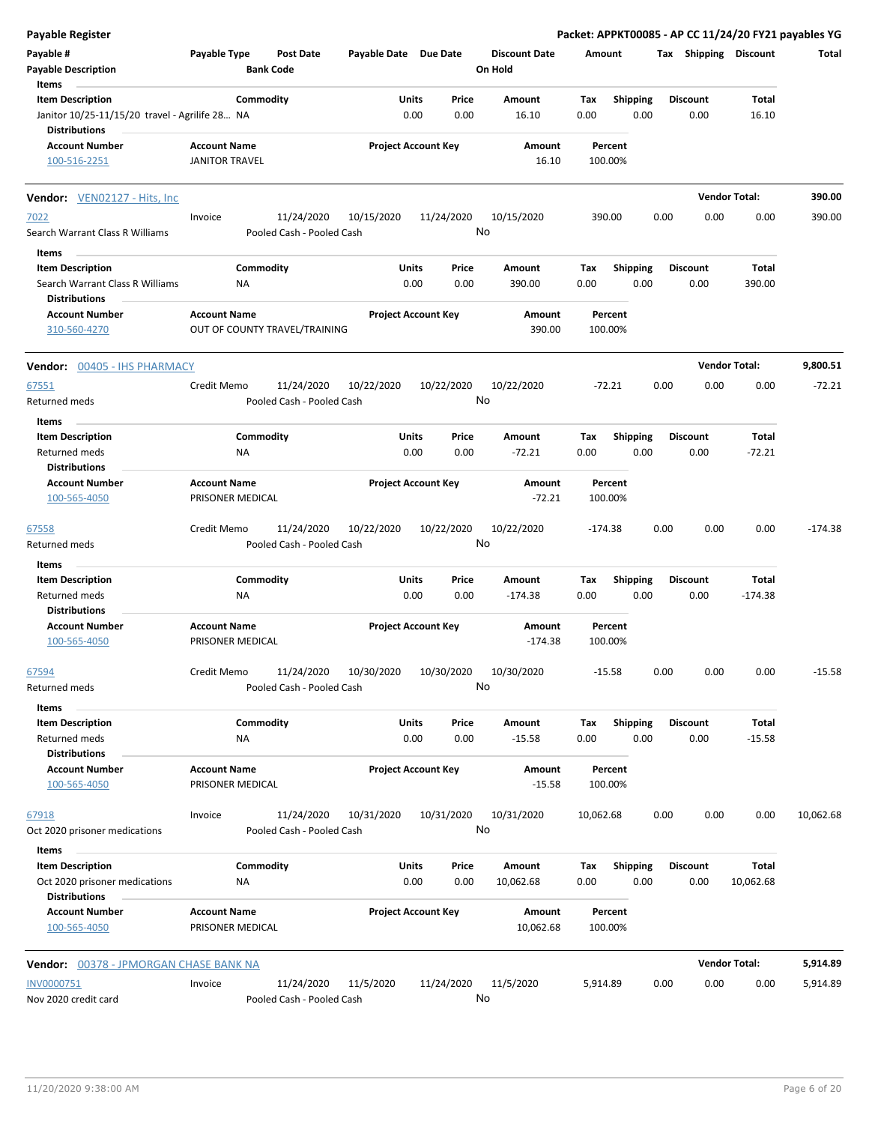| <b>Payable Register</b>                                                                           |                                                      |                                         |                            |      |                  |                                 |             |                         |      |                         |                      | Packet: APPKT00085 - AP CC 11/24/20 FY21 payables YG |
|---------------------------------------------------------------------------------------------------|------------------------------------------------------|-----------------------------------------|----------------------------|------|------------------|---------------------------------|-------------|-------------------------|------|-------------------------|----------------------|------------------------------------------------------|
| Payable #<br><b>Payable Description</b>                                                           | Payable Type<br><b>Bank Code</b>                     | <b>Post Date</b>                        | Payable Date Due Date      |      |                  | <b>Discount Date</b><br>On Hold | Amount      |                         |      | Tax Shipping Discount   |                      | Total                                                |
| Items                                                                                             |                                                      |                                         |                            |      |                  |                                 |             |                         |      |                         |                      |                                                      |
| <b>Item Description</b><br>Janitor 10/25-11/15/20 travel - Agrilife 28 NA<br><b>Distributions</b> | Commodity                                            |                                         | Units                      | 0.00 | Price<br>0.00    | Amount<br>16.10                 | Tax<br>0.00 | <b>Shipping</b><br>0.00 |      | <b>Discount</b><br>0.00 | Total<br>16.10       |                                                      |
| <b>Account Number</b>                                                                             | <b>Account Name</b>                                  |                                         | <b>Project Account Key</b> |      |                  | Amount                          |             | Percent                 |      |                         |                      |                                                      |
| 100-516-2251                                                                                      | <b>JANITOR TRAVEL</b>                                |                                         |                            |      |                  | 16.10                           | 100.00%     |                         |      |                         |                      |                                                      |
| <b>Vendor:</b> VEN02127 - Hits, Inc.                                                              |                                                      |                                         |                            |      |                  |                                 |             |                         |      |                         | <b>Vendor Total:</b> | 390.00                                               |
| 7022                                                                                              | Invoice                                              | 11/24/2020                              | 10/15/2020                 |      | 11/24/2020       | 10/15/2020                      | 390.00      |                         | 0.00 | 0.00                    | 0.00                 | 390.00                                               |
| Search Warrant Class R Williams                                                                   |                                                      | Pooled Cash - Pooled Cash               |                            |      | No               |                                 |             |                         |      |                         |                      |                                                      |
| Items                                                                                             |                                                      |                                         |                            |      |                  |                                 |             |                         |      |                         |                      |                                                      |
| <b>Item Description</b>                                                                           | Commodity                                            |                                         | Units                      |      | Price            | Amount                          | Tax         | <b>Shipping</b>         |      | <b>Discount</b>         | Total                |                                                      |
| Search Warrant Class R Williams<br><b>Distributions</b>                                           | NA                                                   |                                         |                            | 0.00 | 0.00             | 390.00                          | 0.00        | 0.00                    |      | 0.00                    | 390.00               |                                                      |
| <b>Account Number</b><br>310-560-4270                                                             | <b>Account Name</b><br>OUT OF COUNTY TRAVEL/TRAINING |                                         | <b>Project Account Key</b> |      |                  | Amount<br>390.00                | 100.00%     | Percent                 |      |                         |                      |                                                      |
| Vendor: 00405 - IHS PHARMACY                                                                      |                                                      |                                         |                            |      |                  |                                 |             |                         |      |                         | <b>Vendor Total:</b> | 9,800.51                                             |
| 67551<br>Returned meds                                                                            | Credit Memo                                          | 11/24/2020<br>Pooled Cash - Pooled Cash | 10/22/2020                 |      | 10/22/2020<br>No | 10/22/2020                      | $-72.21$    |                         | 0.00 | 0.00                    | 0.00                 | $-72.21$                                             |
| Items                                                                                             |                                                      |                                         |                            |      |                  |                                 |             |                         |      |                         |                      |                                                      |
| <b>Item Description</b>                                                                           | Commodity                                            |                                         | Units                      |      | Price            | Amount                          | Tax         | <b>Shipping</b>         |      | <b>Discount</b>         | Total                |                                                      |
| Returned meds<br><b>Distributions</b>                                                             | ΝA                                                   |                                         |                            | 0.00 | 0.00             | $-72.21$                        | 0.00        | 0.00                    |      | 0.00                    | $-72.21$             |                                                      |
| <b>Account Number</b>                                                                             | <b>Account Name</b>                                  |                                         | <b>Project Account Key</b> |      |                  | Amount                          |             | Percent                 |      |                         |                      |                                                      |
| 100-565-4050                                                                                      | PRISONER MEDICAL                                     |                                         |                            |      |                  | $-72.21$                        | 100.00%     |                         |      |                         |                      |                                                      |
| 67558                                                                                             | Credit Memo                                          | 11/24/2020                              | 10/22/2020                 |      | 10/22/2020       | 10/22/2020                      | -174.38     |                         | 0.00 | 0.00                    | 0.00                 | $-174.38$                                            |
| Returned meds                                                                                     |                                                      | Pooled Cash - Pooled Cash               |                            |      | No               |                                 |             |                         |      |                         |                      |                                                      |
| Items                                                                                             |                                                      |                                         |                            |      |                  |                                 |             |                         |      |                         |                      |                                                      |
| <b>Item Description</b>                                                                           | Commodity                                            |                                         | Units                      |      | Price            | Amount                          | Tax         | Shipping                |      | <b>Discount</b>         | Total                |                                                      |
| Returned meds                                                                                     | NA                                                   |                                         |                            | 0.00 | 0.00             | $-174.38$                       | 0.00        | 0.00                    |      | 0.00                    | $-174.38$            |                                                      |
| <b>Distributions</b><br><b>Account Number</b>                                                     | <b>Account Name</b>                                  |                                         | <b>Project Account Key</b> |      |                  | Amount                          |             | Percent                 |      |                         |                      |                                                      |
| 100-565-4050                                                                                      | PRISONER MEDICAL                                     |                                         |                            |      |                  | $-174.38$                       | 100.00%     |                         |      |                         |                      |                                                      |
| 67594                                                                                             | Credit Memo                                          | 11/24/2020                              | 10/30/2020                 |      | 10/30/2020       | 10/30/2020                      | -15.58      |                         | 0.00 | 0.00                    | 0.00                 | $-15.58$                                             |
| Returned meds                                                                                     |                                                      | Pooled Cash - Pooled Cash               |                            |      | No               |                                 |             |                         |      |                         |                      |                                                      |
| Items                                                                                             |                                                      |                                         |                            |      |                  |                                 |             |                         |      |                         |                      |                                                      |
| <b>Item Description</b>                                                                           | Commodity                                            |                                         | Units                      |      | Price            | Amount                          | Tax         | <b>Shipping</b>         |      | <b>Discount</b>         | Total                |                                                      |
| Returned meds                                                                                     | ΝA                                                   |                                         |                            | 0.00 | 0.00             | $-15.58$                        | 0.00        | 0.00                    |      | 0.00                    | $-15.58$             |                                                      |
| <b>Distributions</b><br><b>Account Number</b>                                                     | <b>Account Name</b>                                  |                                         | <b>Project Account Key</b> |      |                  | Amount                          |             | Percent                 |      |                         |                      |                                                      |
| 100-565-4050                                                                                      | PRISONER MEDICAL                                     |                                         |                            |      |                  | $-15.58$                        | 100.00%     |                         |      |                         |                      |                                                      |
| 67918                                                                                             | Invoice                                              | 11/24/2020                              | 10/31/2020                 |      | 10/31/2020       | 10/31/2020                      | 10,062.68   |                         | 0.00 | 0.00                    | 0.00                 | 10,062.68                                            |
| Oct 2020 prisoner medications                                                                     |                                                      | Pooled Cash - Pooled Cash               |                            |      | No               |                                 |             |                         |      |                         |                      |                                                      |
| Items                                                                                             |                                                      |                                         |                            |      |                  |                                 |             |                         |      |                         |                      |                                                      |
| <b>Item Description</b>                                                                           | Commodity                                            |                                         | Units                      |      | Price            | Amount                          | Tax         | <b>Shipping</b>         |      | <b>Discount</b>         | Total                |                                                      |
| Oct 2020 prisoner medications<br><b>Distributions</b>                                             | <b>NA</b>                                            |                                         |                            | 0.00 | 0.00             | 10,062.68                       | 0.00        | 0.00                    |      | 0.00                    | 10,062.68            |                                                      |
| <b>Account Number</b><br>100-565-4050                                                             | <b>Account Name</b><br>PRISONER MEDICAL              |                                         | <b>Project Account Key</b> |      |                  | Amount<br>10,062.68             | 100.00%     | Percent                 |      |                         |                      |                                                      |
| Vendor: 00378 - JPMORGAN CHASE BANK NA                                                            |                                                      |                                         |                            |      |                  |                                 |             |                         |      |                         | <b>Vendor Total:</b> | 5,914.89                                             |
| INV0000751                                                                                        | Invoice                                              | 11/24/2020                              | 11/5/2020                  |      | 11/24/2020       | 11/5/2020                       | 5,914.89    |                         | 0.00 | 0.00                    | 0.00                 | 5,914.89                                             |
| Nov 2020 credit card                                                                              |                                                      | Pooled Cash - Pooled Cash               |                            |      | No               |                                 |             |                         |      |                         |                      |                                                      |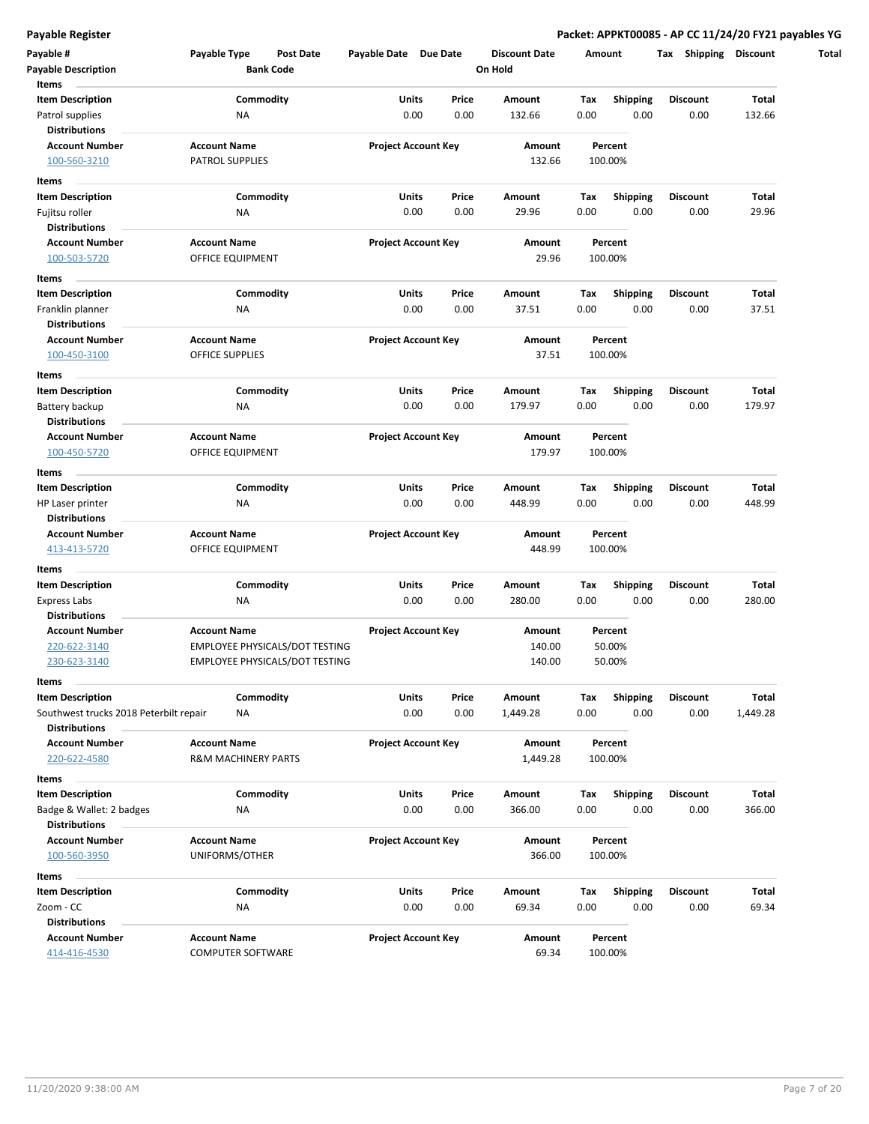**Payable Register Packet: APPKT00085 - AP CC 11/24/20 FY21 payables YG**

| Payable #<br><b>Payable Description</b>                                                   | Payable Type                                          | <b>Bank Code</b> | <b>Post Date</b>                                                               | Payable Date Due Date      |               |               | <b>Discount Date</b><br>On Hold |             | Amount                  | Shipping<br>Tax         | <b>Discount</b>   |
|-------------------------------------------------------------------------------------------|-------------------------------------------------------|------------------|--------------------------------------------------------------------------------|----------------------------|---------------|---------------|---------------------------------|-------------|-------------------------|-------------------------|-------------------|
| Items<br><b>Item Description</b><br>Patrol supplies                                       | NA                                                    | Commodity        |                                                                                |                            | Units<br>0.00 | Price<br>0.00 | Amount<br>132.66                | Tax<br>0.00 | <b>Shipping</b><br>0.00 | <b>Discount</b><br>0.00 | Total<br>132.66   |
| <b>Distributions</b><br><b>Account Number</b><br>100-560-3210                             | <b>Account Name</b><br>PATROL SUPPLIES                |                  |                                                                                | <b>Project Account Key</b> |               |               | Amount<br>132.66                |             | Percent<br>100.00%      |                         |                   |
| Items<br><b>Item Description</b>                                                          |                                                       | Commodity        |                                                                                |                            | Units         | Price         | Amount                          | Tax         | Shipping                | <b>Discount</b>         | Total             |
| Fujitsu roller<br><b>Distributions</b>                                                    | NA                                                    |                  |                                                                                |                            | 0.00          | 0.00          | 29.96                           | 0.00        | 0.00                    | 0.00                    | 29.96             |
| <b>Account Number</b><br>100-503-5720                                                     | <b>Account Name</b><br>OFFICE EQUIPMENT               |                  |                                                                                | <b>Project Account Key</b> |               |               | Amount<br>29.96                 |             | Percent<br>100.00%      |                         |                   |
| Items                                                                                     |                                                       |                  |                                                                                |                            |               |               |                                 |             |                         |                         |                   |
| <b>Item Description</b><br>Franklin planner<br><b>Distributions</b>                       | NA                                                    | Commodity        |                                                                                |                            | Units<br>0.00 | Price<br>0.00 | Amount<br>37.51                 | Tax<br>0.00 | <b>Shipping</b><br>0.00 | <b>Discount</b><br>0.00 | Total<br>37.51    |
| <b>Account Number</b><br>100-450-3100                                                     | <b>Account Name</b><br>OFFICE SUPPLIES                |                  |                                                                                | <b>Project Account Key</b> |               |               | Amount<br>37.51                 |             | Percent<br>100.00%      |                         |                   |
| Items<br><b>Item Description</b>                                                          |                                                       | Commodity        |                                                                                |                            | Units         | Price         | Amount                          | Tax         | <b>Shipping</b>         | <b>Discount</b>         | Total             |
| Battery backup                                                                            | <b>NA</b>                                             |                  |                                                                                |                            | 0.00          | 0.00          | 179.97                          | 0.00        | 0.00                    | 0.00                    | 179.97            |
| <b>Distributions</b><br><b>Account Number</b><br>100-450-5720                             | <b>Account Name</b><br>OFFICE EQUIPMENT               |                  |                                                                                | <b>Project Account Key</b> |               |               | Amount<br>179.97                |             | Percent<br>100.00%      |                         |                   |
| Items                                                                                     |                                                       |                  |                                                                                |                            |               |               |                                 |             |                         |                         |                   |
| <b>Item Description</b><br>HP Laser printer<br>Distributions                              | NA                                                    | Commodity        |                                                                                |                            | Units<br>0.00 | Price<br>0.00 | Amount<br>448.99                | Tax<br>0.00 | Shipping<br>0.00        | <b>Discount</b><br>0.00 | Total<br>448.99   |
| <b>Account Number</b><br>413-413-5720                                                     | <b>Account Name</b><br>OFFICE EQUIPMENT               |                  |                                                                                | <b>Project Account Key</b> |               |               | Amount<br>448.99                |             | Percent<br>100.00%      |                         |                   |
| Items                                                                                     |                                                       |                  |                                                                                |                            |               |               |                                 |             |                         |                         |                   |
| <b>Item Description</b><br><b>Express Labs</b><br><b>Distributions</b>                    | NA                                                    | Commodity        |                                                                                |                            | Units<br>0.00 | Price<br>0.00 | Amount<br>280.00                | Tax<br>0.00 | <b>Shipping</b><br>0.00 | <b>Discount</b><br>0.00 | Total<br>280.00   |
| <b>Account Number</b>                                                                     | <b>Account Name</b>                                   |                  |                                                                                | <b>Project Account Key</b> |               |               | Amount                          |             | Percent                 |                         |                   |
| 220-622-3140<br>230-623-3140                                                              |                                                       |                  | <b>EMPLOYEE PHYSICALS/DOT TESTING</b><br><b>EMPLOYEE PHYSICALS/DOT TESTING</b> |                            |               |               | 140.00<br>140.00                |             | 50.00%<br>50.00%        |                         |                   |
| Items                                                                                     |                                                       |                  |                                                                                |                            |               |               |                                 |             |                         |                         |                   |
| <b>Item Description</b><br>Southwest trucks 2018 Peterbilt repair<br><b>Distributions</b> | NA                                                    | Commodity        |                                                                                |                            | Units<br>0.00 | Price<br>0.00 | Amount<br>1,449.28              | Tax<br>0.00 | Shipping<br>0.00        | <b>Discount</b><br>0.00 | Total<br>1,449.28 |
| <b>Account Number</b><br>220-622-4580                                                     | <b>Account Name</b><br><b>R&amp;M MACHINERY PARTS</b> |                  |                                                                                | <b>Project Account Key</b> |               |               | Amount<br>1,449.28              |             | Percent<br>100.00%      |                         |                   |
| Items                                                                                     |                                                       |                  |                                                                                |                            |               |               |                                 |             |                         |                         |                   |
| <b>Item Description</b><br>Badge & Wallet: 2 badges                                       | <b>NA</b>                                             | Commodity        |                                                                                |                            | Units<br>0.00 | Price<br>0.00 | Amount<br>366.00                | Tax<br>0.00 | <b>Shipping</b><br>0.00 | <b>Discount</b><br>0.00 | Total<br>366.00   |
| <b>Distributions</b>                                                                      |                                                       |                  |                                                                                |                            |               |               |                                 |             |                         |                         |                   |
| <b>Account Number</b><br>100-560-3950                                                     | <b>Account Name</b><br>UNIFORMS/OTHER                 |                  |                                                                                | <b>Project Account Key</b> |               |               | Amount<br>366.00                |             | Percent<br>100.00%      |                         |                   |
| Items                                                                                     |                                                       |                  |                                                                                |                            |               |               |                                 |             |                         |                         |                   |
| <b>Item Description</b><br>Zoom - CC<br><b>Distributions</b>                              | ΝA                                                    | Commodity        |                                                                                |                            | Units<br>0.00 | Price<br>0.00 | Amount<br>69.34                 | Tax<br>0.00 | <b>Shipping</b><br>0.00 | <b>Discount</b><br>0.00 | Total<br>69.34    |
| <b>Account Number</b><br>414-416-4530                                                     | <b>Account Name</b><br><b>COMPUTER SOFTWARE</b>       |                  |                                                                                | <b>Project Account Key</b> |               |               | Amount<br>69.34                 |             | Percent<br>100.00%      |                         |                   |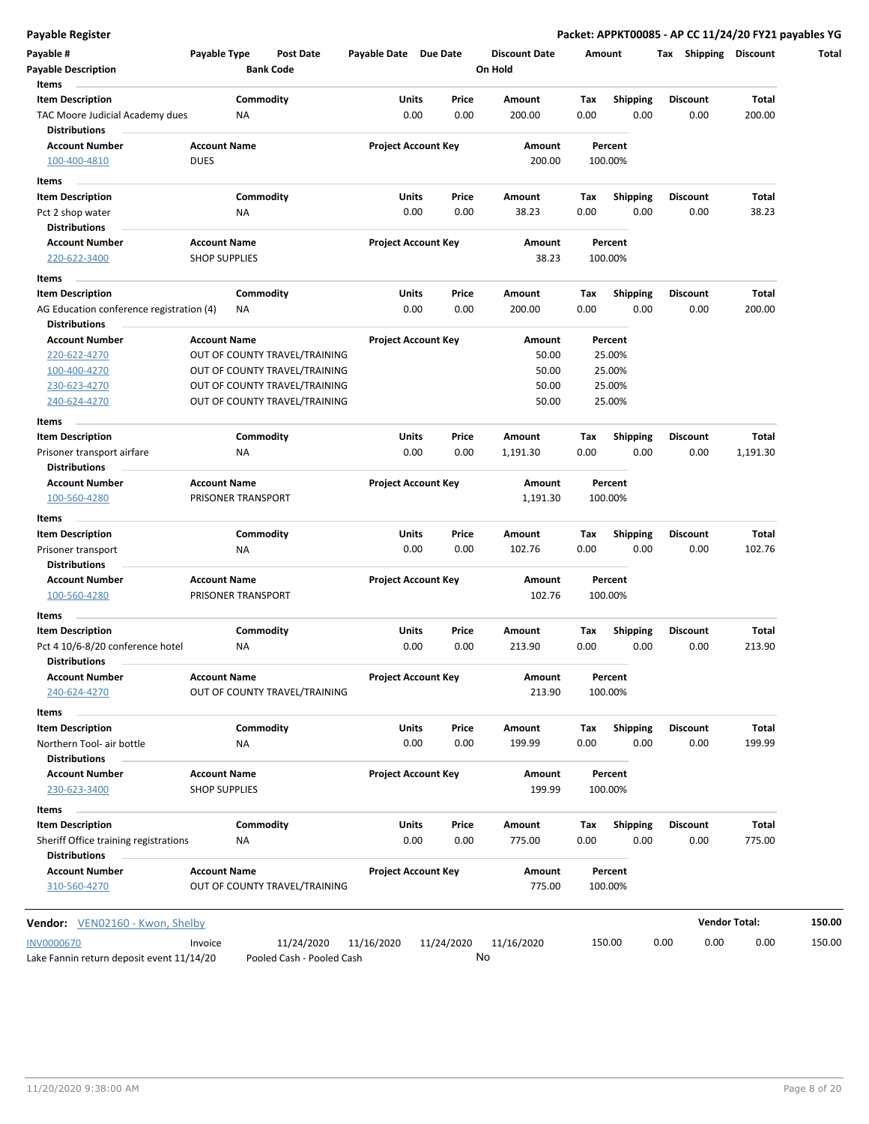**Payable Register Packet: APPKT00085 - AP CC 11/24/20 FY21 payables YG**

| Payable #<br><b>Payable Description</b>            | Payable Type         | Post Date<br><b>Bank Code</b>                                  | Payable Date Due Date |                            | <b>Discount Date</b><br>On Hold |             | Amount                  | <b>Shipping</b><br>Tax  | <b>Discount</b>      |
|----------------------------------------------------|----------------------|----------------------------------------------------------------|-----------------------|----------------------------|---------------------------------|-------------|-------------------------|-------------------------|----------------------|
| <b>Items</b>                                       |                      |                                                                |                       |                            |                                 |             |                         |                         |                      |
| <b>Item Description</b>                            |                      | Commodity                                                      | <b>Units</b>          | Price                      | Amount                          | Tax         | <b>Shipping</b>         | Discount                | Total                |
| TAC Moore Judicial Academy dues                    | ΝA                   |                                                                |                       | 0.00<br>0.00               | 200.00                          | 0.00        | 0.00                    | 0.00                    | 200.00               |
| <b>Distributions</b>                               |                      |                                                                |                       |                            |                                 |             |                         |                         |                      |
| <b>Account Number</b>                              | <b>Account Name</b>  |                                                                |                       | <b>Project Account Key</b> | Amount                          |             | Percent                 |                         |                      |
| 100-400-4810                                       | <b>DUES</b>          |                                                                |                       |                            | 200.00                          |             | 100.00%                 |                         |                      |
| Items                                              |                      |                                                                |                       |                            |                                 |             |                         |                         |                      |
| <b>Item Description</b>                            |                      | Commodity                                                      | Units                 | Price                      | Amount                          | Тах         | <b>Shipping</b>         | <b>Discount</b>         | Total                |
| Pct 2 shop water                                   | ΝA                   |                                                                |                       | 0.00<br>0.00               | 38.23                           | 0.00        | 0.00                    | 0.00                    | 38.23                |
| <b>Distributions</b>                               |                      |                                                                |                       |                            |                                 |             |                         |                         |                      |
| <b>Account Number</b>                              | <b>Account Name</b>  |                                                                |                       | <b>Project Account Key</b> | Amount                          |             | Percent                 |                         |                      |
| 220-622-3400                                       | <b>SHOP SUPPLIES</b> |                                                                |                       |                            | 38.23                           |             | 100.00%                 |                         |                      |
| Items                                              |                      |                                                                |                       |                            |                                 |             |                         |                         |                      |
| <b>Item Description</b>                            |                      | Commodity                                                      | Units                 | Price                      | Amount                          | Tax         | <b>Shipping</b>         | <b>Discount</b>         | Total                |
| AG Education conference registration (4)           | ΝA                   |                                                                |                       | 0.00<br>0.00               | 200.00                          | 0.00        | 0.00                    | 0.00                    | 200.00               |
| <b>Distributions</b>                               |                      |                                                                |                       |                            |                                 |             |                         |                         |                      |
| <b>Account Number</b>                              | <b>Account Name</b>  |                                                                |                       | <b>Project Account Key</b> | Amount                          |             | Percent                 |                         |                      |
| 220-622-4270                                       |                      | OUT OF COUNTY TRAVEL/TRAINING                                  |                       |                            | 50.00                           |             | 25.00%                  |                         |                      |
| 100-400-4270                                       |                      | OUT OF COUNTY TRAVEL/TRAINING<br>OUT OF COUNTY TRAVEL/TRAINING |                       |                            | 50.00<br>50.00                  |             | 25.00%                  |                         |                      |
| 230-623-4270<br>240-624-4270                       |                      | OUT OF COUNTY TRAVEL/TRAINING                                  |                       |                            | 50.00                           |             | 25.00%<br>25.00%        |                         |                      |
|                                                    |                      |                                                                |                       |                            |                                 |             |                         |                         |                      |
| Items                                              |                      |                                                                |                       |                            |                                 |             |                         |                         |                      |
| <b>Item Description</b>                            | ΝA                   | Commodity                                                      | Units                 | Price<br>0.00<br>0.00      | Amount                          | Тах<br>0.00 | <b>Shipping</b><br>0.00 | <b>Discount</b><br>0.00 | Total<br>1,191.30    |
| Prisoner transport airfare<br><b>Distributions</b> |                      |                                                                |                       |                            | 1,191.30                        |             |                         |                         |                      |
| <b>Account Number</b>                              | <b>Account Name</b>  |                                                                |                       | <b>Project Account Key</b> | Amount                          |             | Percent                 |                         |                      |
| 100-560-4280                                       | PRISONER TRANSPORT   |                                                                |                       |                            | 1,191.30                        |             | 100.00%                 |                         |                      |
|                                                    |                      |                                                                |                       |                            |                                 |             |                         |                         |                      |
| Items                                              |                      |                                                                |                       |                            |                                 |             |                         |                         |                      |
| Item Description<br>Prisoner transport             | ΝA                   | Commodity                                                      | Units                 | Price<br>0.00<br>0.00      | Amount<br>102.76                | Tax<br>0.00 | <b>Shipping</b><br>0.00 | <b>Discount</b><br>0.00 | Total<br>102.76      |
| <b>Distributions</b>                               |                      |                                                                |                       |                            |                                 |             |                         |                         |                      |
| <b>Account Number</b>                              | <b>Account Name</b>  |                                                                |                       | <b>Project Account Key</b> | Amount                          |             | Percent                 |                         |                      |
| 100-560-4280                                       | PRISONER TRANSPORT   |                                                                |                       |                            | 102.76                          |             | 100.00%                 |                         |                      |
|                                                    |                      |                                                                |                       |                            |                                 |             |                         |                         |                      |
| Items<br><b>Item Description</b>                   |                      | Commodity                                                      | Units                 | Price                      | Amount                          | Tax         |                         | Discount                | Total                |
| Pct 4 10/6-8/20 conference hotel                   | ΝA                   |                                                                |                       | 0.00<br>0.00               | 213.90                          | 0.00        | <b>Shipping</b><br>0.00 | 0.00                    | 213.90               |
| <b>Distributions</b>                               |                      |                                                                |                       |                            |                                 |             |                         |                         |                      |
| <b>Account Number</b>                              | <b>Account Name</b>  |                                                                |                       | <b>Project Account Key</b> | Amount                          |             | Percent                 |                         |                      |
| 240-624-4270                                       |                      | OUT OF COUNTY TRAVEL/TRAINING                                  |                       |                            | 213.90                          |             | 100.00%                 |                         |                      |
| Items                                              |                      |                                                                |                       |                            |                                 |             |                         |                         |                      |
| <b>Item Description</b>                            |                      | Commodity                                                      | Units                 | Price                      | Amount                          | Tax         | <b>Shipping</b>         | <b>Discount</b>         | Total                |
| Northern Tool- air bottle                          | <b>NA</b>            |                                                                |                       | 0.00<br>0.00               | 199.99                          | 0.00        | 0.00                    | 0.00                    | 199.99               |
| <b>Distributions</b>                               |                      |                                                                |                       |                            |                                 |             |                         |                         |                      |
| <b>Account Number</b>                              | <b>Account Name</b>  |                                                                |                       | <b>Project Account Key</b> | Amount                          |             | Percent                 |                         |                      |
| 230-623-3400                                       | <b>SHOP SUPPLIES</b> |                                                                |                       |                            | 199.99                          |             | 100.00%                 |                         |                      |
| Items                                              |                      |                                                                |                       |                            |                                 |             |                         |                         |                      |
| <b>Item Description</b>                            |                      | Commodity                                                      | Units                 | Price                      |                                 |             | <b>Shipping</b>         |                         | Total                |
| Sheriff Office training registrations              | ΝA                   |                                                                |                       | 0.00<br>0.00               | Amount<br>775.00                | Tax<br>0.00 | 0.00                    | <b>Discount</b><br>0.00 | 775.00               |
| <b>Distributions</b>                               |                      |                                                                |                       |                            |                                 |             |                         |                         |                      |
| <b>Account Number</b>                              | <b>Account Name</b>  |                                                                |                       | <b>Project Account Key</b> | Amount                          |             | Percent                 |                         |                      |
| 310-560-4270                                       |                      | OUT OF COUNTY TRAVEL/TRAINING                                  |                       |                            | 775.00                          |             | 100.00%                 |                         |                      |
|                                                    |                      |                                                                |                       |                            |                                 |             |                         |                         |                      |
| Vendor: VEN02160 - Kwon, Shelby                    |                      |                                                                |                       |                            |                                 |             |                         |                         | <b>Vendor Total:</b> |
| <b>INV0000670</b>                                  | Invoice              | 11/24/2020                                                     | 11/16/2020            | 11/24/2020                 | 11/16/2020                      |             | 150.00                  | 0.00<br>0.00            | 0.00                 |
|                                                    |                      |                                                                |                       |                            |                                 |             |                         |                         |                      |

Lake Fannin return deposit event 11/14/20 Pooled Cash - Pooled Cash

No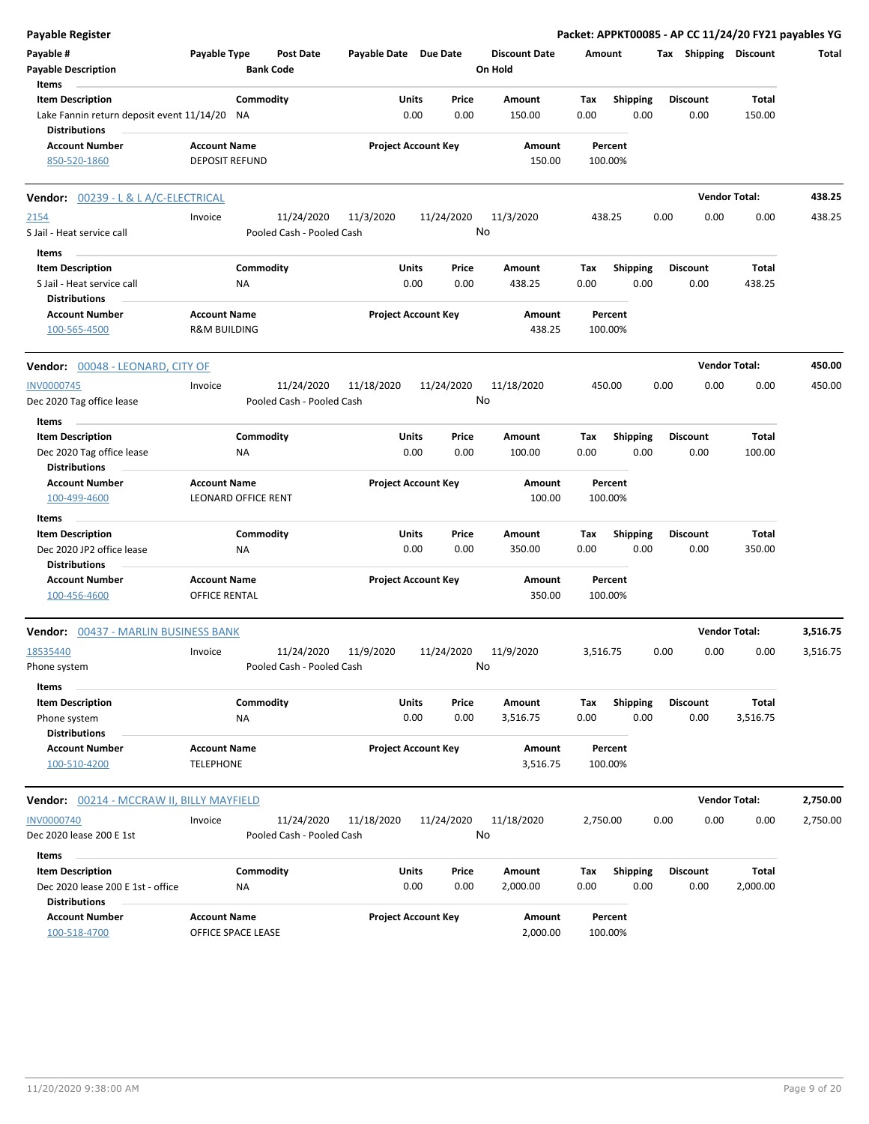| <b>Payable Register</b>                                                          |                                                |                                         |                       |                            |                                 |                    |                         | Packet: APPKT00085 - AP CC 11/24/20 FY21 payables YG |                      |          |
|----------------------------------------------------------------------------------|------------------------------------------------|-----------------------------------------|-----------------------|----------------------------|---------------------------------|--------------------|-------------------------|------------------------------------------------------|----------------------|----------|
| Payable #<br><b>Payable Description</b>                                          | Payable Type                                   | <b>Post Date</b><br><b>Bank Code</b>    | Payable Date Due Date |                            | <b>Discount Date</b><br>On Hold | Amount             |                         | Tax Shipping Discount                                |                      | Total    |
| Items<br><b>Item Description</b><br>Lake Fannin return deposit event 11/14/20 NA |                                                | Commodity                               | Units<br>0.00         | Price<br>0.00              | Amount<br>150.00                | Tax<br>0.00        | <b>Shipping</b><br>0.00 | <b>Discount</b><br>0.00                              | Total<br>150.00      |          |
| <b>Distributions</b>                                                             |                                                |                                         |                       |                            |                                 |                    |                         |                                                      |                      |          |
| <b>Account Number</b><br>850-520-1860                                            | <b>Account Name</b><br><b>DEPOSIT REFUND</b>   |                                         |                       | <b>Project Account Key</b> | Amount<br>150.00                | Percent<br>100.00% |                         |                                                      |                      |          |
| <b>Vendor: 00239 - L &amp; L A/C-ELECTRICAL</b>                                  |                                                |                                         |                       |                            |                                 |                    |                         |                                                      | <b>Vendor Total:</b> | 438.25   |
| 2154                                                                             | Invoice                                        | 11/24/2020                              | 11/3/2020             | 11/24/2020                 | 11/3/2020                       | 438.25             |                         | 0.00<br>0.00                                         | 0.00                 | 438.25   |
| S Jail - Heat service call                                                       |                                                | Pooled Cash - Pooled Cash               |                       |                            | No                              |                    |                         |                                                      |                      |          |
| Items<br><b>Item Description</b>                                                 |                                                | Commodity                               | Units                 | Price                      | Amount                          | Tax                | <b>Shipping</b>         | <b>Discount</b>                                      | Total                |          |
| S Jail - Heat service call<br><b>Distributions</b>                               | ΝA                                             |                                         | 0.00                  | 0.00                       | 438.25                          | 0.00               | 0.00                    | 0.00                                                 | 438.25               |          |
| <b>Account Number</b><br>100-565-4500                                            | <b>Account Name</b><br><b>R&amp;M BUILDING</b> |                                         |                       | <b>Project Account Key</b> | Amount<br>438.25                | Percent<br>100.00% |                         |                                                      |                      |          |
| Vendor: 00048 - LEONARD, CITY OF                                                 |                                                |                                         |                       |                            |                                 |                    |                         |                                                      | <b>Vendor Total:</b> | 450.00   |
| <b>INV0000745</b>                                                                | Invoice                                        | 11/24/2020                              | 11/18/2020            | 11/24/2020                 | 11/18/2020                      | 450.00             |                         | 0.00<br>0.00                                         | 0.00                 | 450.00   |
| Dec 2020 Tag office lease                                                        |                                                | Pooled Cash - Pooled Cash               |                       |                            | No                              |                    |                         |                                                      |                      |          |
| Items                                                                            |                                                |                                         |                       |                            |                                 |                    |                         |                                                      |                      |          |
| <b>Item Description</b>                                                          |                                                | Commodity                               | Units                 | Price                      | Amount                          | Tax                | <b>Shipping</b>         | <b>Discount</b>                                      | Total                |          |
| Dec 2020 Tag office lease<br><b>Distributions</b>                                | ΝA                                             |                                         | 0.00                  | 0.00                       | 100.00                          | 0.00               | 0.00                    | 0.00                                                 | 100.00               |          |
| <b>Account Number</b>                                                            | <b>Account Name</b>                            |                                         |                       | <b>Project Account Key</b> | Amount                          | Percent            |                         |                                                      |                      |          |
| 100-499-4600                                                                     | <b>LEONARD OFFICE RENT</b>                     |                                         |                       |                            | 100.00                          | 100.00%            |                         |                                                      |                      |          |
| Items                                                                            |                                                |                                         |                       |                            |                                 |                    |                         |                                                      |                      |          |
| <b>Item Description</b>                                                          |                                                | Commodity                               | Units                 | Price                      | Amount                          | Tax                | <b>Shipping</b>         | <b>Discount</b>                                      | <b>Total</b>         |          |
| Dec 2020 JP2 office lease                                                        | <b>NA</b>                                      |                                         | 0.00                  | 0.00                       | 350.00                          | 0.00               | 0.00                    | 0.00                                                 | 350.00               |          |
| <b>Distributions</b>                                                             |                                                |                                         |                       |                            |                                 |                    |                         |                                                      |                      |          |
| <b>Account Number</b><br>100-456-4600                                            | <b>Account Name</b><br><b>OFFICE RENTAL</b>    |                                         |                       | <b>Project Account Key</b> | Amount<br>350.00                | Percent<br>100.00% |                         |                                                      |                      |          |
| 00437 - MARLIN BUSINESS BANK<br>Vendor:                                          |                                                |                                         |                       |                            |                                 |                    |                         |                                                      | <b>Vendor Total:</b> | 3,516.75 |
| 18535440                                                                         | Invoice                                        | 11/24/2020                              | 11/9/2020             | 11/24/2020                 | 11/9/2020                       | 3,516.75           |                         | 0.00<br>0.00                                         | 0.00                 | 3,516.75 |
| Phone system                                                                     |                                                | Pooled Cash - Pooled Cash               |                       |                            | No                              |                    |                         |                                                      |                      |          |
| <b>Items</b>                                                                     |                                                |                                         |                       |                            |                                 |                    |                         |                                                      |                      |          |
| <b>Item Description</b><br>Phone system                                          | <b>NA</b>                                      | Commodity                               | Units<br>0.00         | Price<br>0.00              | Amount<br>3,516.75              | Tax<br>0.00        | <b>Shipping</b><br>0.00 | <b>Discount</b><br>0.00                              | Total<br>3,516.75    |          |
| <b>Distributions</b>                                                             |                                                |                                         |                       |                            |                                 |                    |                         |                                                      |                      |          |
| <b>Account Number</b><br>100-510-4200                                            | <b>Account Name</b><br><b>TELEPHONE</b>        |                                         |                       | <b>Project Account Key</b> | Amount<br>3,516.75              | Percent<br>100.00% |                         |                                                      |                      |          |
| Vendor: 00214 - MCCRAW II, BILLY MAYFIELD                                        |                                                |                                         |                       |                            |                                 |                    |                         |                                                      | <b>Vendor Total:</b> | 2,750.00 |
| <b>INV0000740</b><br>Dec 2020 lease 200 E 1st                                    | Invoice                                        | 11/24/2020<br>Pooled Cash - Pooled Cash | 11/18/2020            | 11/24/2020                 | 11/18/2020<br>No                | 2,750.00           |                         | 0.00<br>0.00                                         | 0.00                 | 2,750.00 |
|                                                                                  |                                                |                                         |                       |                            |                                 |                    |                         |                                                      |                      |          |
| Items<br><b>Item Description</b>                                                 |                                                | Commodity                               | Units                 | Price                      | Amount                          | Tax                | <b>Shipping</b>         | <b>Discount</b>                                      | Total                |          |
| Dec 2020 lease 200 E 1st - office<br><b>Distributions</b>                        | <b>NA</b>                                      |                                         | 0.00                  | 0.00                       | 2,000.00                        | 0.00               | 0.00                    | 0.00                                                 | 2,000.00             |          |
| <b>Account Number</b><br>100-518-4700                                            | <b>Account Name</b><br>OFFICE SPACE LEASE      |                                         |                       | <b>Project Account Key</b> | Amount<br>2,000.00              | Percent<br>100.00% |                         |                                                      |                      |          |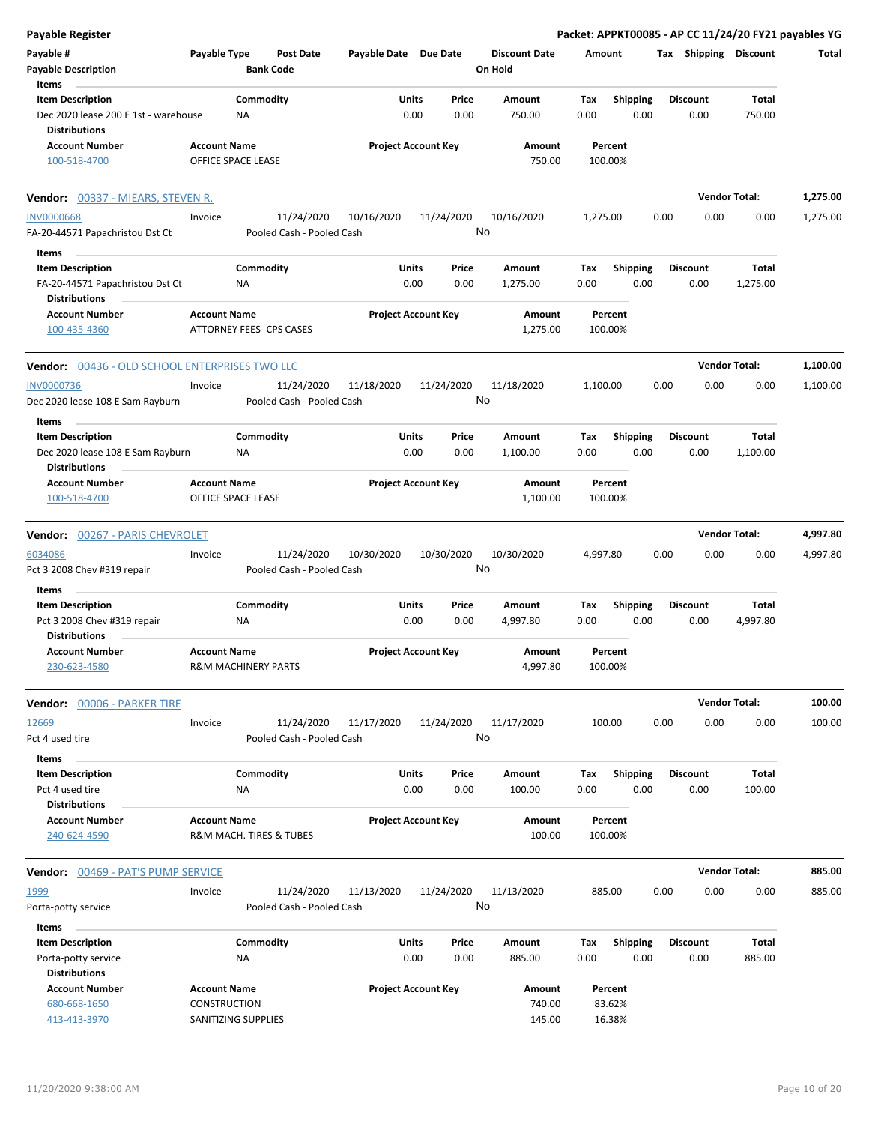| <b>Payable Register</b>                                      |                                     |                                         |                       |                            |                                 |          |                   |      |                 | Packet: APPKT00085 - AP CC 11/24/20 FY21 payables YG |          |
|--------------------------------------------------------------|-------------------------------------|-----------------------------------------|-----------------------|----------------------------|---------------------------------|----------|-------------------|------|-----------------|------------------------------------------------------|----------|
| Payable #<br><b>Payable Description</b>                      | Payable Type                        | Post Date<br><b>Bank Code</b>           | Payable Date Due Date |                            | <b>Discount Date</b><br>On Hold | Amount   |                   |      |                 | Tax Shipping Discount                                | Total    |
| Items                                                        |                                     |                                         |                       |                            |                                 |          |                   |      |                 |                                                      |          |
| <b>Item Description</b>                                      | Commodity                           |                                         | Units                 | Price                      | Amount                          | Tax      | <b>Shipping</b>   |      | <b>Discount</b> | Total                                                |          |
| Dec 2020 lease 200 E 1st - warehouse<br><b>Distributions</b> | ΝA                                  |                                         | 0.00                  | 0.00                       | 750.00                          | 0.00     | 0.00              |      | 0.00            | 750.00                                               |          |
| <b>Account Number</b>                                        | <b>Account Name</b>                 |                                         |                       | <b>Project Account Key</b> | Amount                          |          | Percent           |      |                 |                                                      |          |
| 100-518-4700                                                 | OFFICE SPACE LEASE                  |                                         |                       |                            | 750.00                          |          | 100.00%           |      |                 |                                                      |          |
| <b>Vendor:</b> 00337 - MIEARS, STEVEN R.                     |                                     |                                         |                       |                            |                                 |          |                   |      |                 | <b>Vendor Total:</b>                                 | 1,275.00 |
| <b>INV0000668</b>                                            | Invoice                             | 11/24/2020                              | 10/16/2020            | 11/24/2020                 | 10/16/2020                      | 1,275.00 |                   | 0.00 | 0.00            | 0.00                                                 | 1,275.00 |
| FA-20-44571 Papachristou Dst Ct                              |                                     | Pooled Cash - Pooled Cash               |                       |                            | No                              |          |                   |      |                 |                                                      |          |
| Items                                                        |                                     |                                         |                       |                            |                                 |          |                   |      |                 |                                                      |          |
| <b>Item Description</b>                                      | Commodity                           |                                         | Units                 | Price                      | Amount                          | Tax      | Shipping          |      | <b>Discount</b> | Total                                                |          |
| FA-20-44571 Papachristou Dst Ct<br><b>Distributions</b>      | ΝA                                  |                                         | 0.00                  | 0.00                       | 1,275.00                        | 0.00     | 0.00              |      | 0.00            | 1,275.00                                             |          |
| <b>Account Number</b>                                        | <b>Account Name</b>                 |                                         |                       | <b>Project Account Key</b> | Amount                          |          | Percent           |      |                 |                                                      |          |
| 100-435-4360                                                 | <b>ATTORNEY FEES- CPS CASES</b>     |                                         |                       |                            | 1,275.00                        |          | 100.00%           |      |                 |                                                      |          |
| Vendor: 00436 - OLD SCHOOL ENTERPRISES TWO LLC               |                                     |                                         |                       |                            |                                 |          |                   |      |                 | <b>Vendor Total:</b>                                 | 1,100.00 |
| <b>INV0000736</b>                                            | Invoice                             | 11/24/2020                              | 11/18/2020            | 11/24/2020                 | 11/18/2020                      | 1,100.00 |                   | 0.00 | 0.00            | 0.00                                                 | 1,100.00 |
| Dec 2020 lease 108 E Sam Rayburn                             |                                     | Pooled Cash - Pooled Cash               |                       |                            | No                              |          |                   |      |                 |                                                      |          |
| Items<br><b>Item Description</b>                             | Commodity                           |                                         | Units                 | Price                      | Amount                          | Tax      | <b>Shipping</b>   |      | <b>Discount</b> | Total                                                |          |
| Dec 2020 lease 108 E Sam Rayburn<br><b>Distributions</b>     | <b>NA</b>                           |                                         | 0.00                  | 0.00                       | 1,100.00                        | 0.00     | 0.00              |      | 0.00            | 1,100.00                                             |          |
| <b>Account Number</b>                                        | <b>Account Name</b>                 |                                         |                       | <b>Project Account Key</b> | Amount                          |          | Percent           |      |                 |                                                      |          |
| 100-518-4700                                                 | OFFICE SPACE LEASE                  |                                         |                       |                            | 1,100.00                        |          | 100.00%           |      |                 |                                                      |          |
| Vendor: 00267 - PARIS CHEVROLET                              |                                     |                                         |                       |                            |                                 |          |                   |      |                 | <b>Vendor Total:</b>                                 | 4,997.80 |
| 6034086<br>Pct 3 2008 Chev #319 repair                       | Invoice                             | 11/24/2020<br>Pooled Cash - Pooled Cash | 10/30/2020            | 10/30/2020                 | 10/30/2020<br>No                | 4,997.80 |                   | 0.00 | 0.00            | 0.00                                                 | 4,997.80 |
| Items<br><b>Item Description</b>                             | Commodity                           |                                         | Units                 | Price                      | <b>Amount</b>                   | Tax      | <b>Shipping</b>   |      | <b>Discount</b> | Total                                                |          |
| Pct 3 2008 Chev #319 repair<br><b>Distributions</b>          | ΝA                                  |                                         | 0.00                  | 0.00                       | 4,997.80                        | 0.00     | 0.00              |      | 0.00            | 4,997.80                                             |          |
| <b>Account Number</b>                                        | <b>Account Name</b>                 |                                         |                       | <b>Project Account Key</b> | Amount                          |          | Percent           |      |                 |                                                      |          |
| 230-623-4580                                                 | <b>R&amp;M MACHINERY PARTS</b>      |                                         |                       |                            | 4,997.80                        |          | 100.00%           |      |                 |                                                      |          |
| Vendor: 00006 - PARKER TIRE                                  |                                     |                                         |                       |                            |                                 |          |                   |      |                 | <b>Vendor Total:</b>                                 | 100.00   |
| 12669                                                        | Invoice                             | 11/24/2020                              | 11/17/2020            | 11/24/2020                 | 11/17/2020                      |          | 100.00            | 0.00 | 0.00            | 0.00                                                 | 100.00   |
| Pct 4 used tire                                              |                                     | Pooled Cash - Pooled Cash               |                       |                            | No                              |          |                   |      |                 |                                                      |          |
| Items<br><b>Item Description</b>                             | Commodity                           |                                         | Units                 | Price                      | Amount                          | Tax      | Shipping          |      | <b>Discount</b> | Total                                                |          |
| Pct 4 used tire                                              | <b>NA</b>                           |                                         | 0.00                  | 0.00                       | 100.00                          | 0.00     | 0.00              |      | 0.00            | 100.00                                               |          |
| <b>Distributions</b>                                         |                                     |                                         |                       |                            |                                 |          |                   |      |                 |                                                      |          |
| <b>Account Number</b>                                        | <b>Account Name</b>                 |                                         |                       | <b>Project Account Key</b> | Amount                          |          | Percent           |      |                 |                                                      |          |
| 240-624-4590                                                 | R&M MACH. TIRES & TUBES             |                                         |                       |                            | 100.00                          |          | 100.00%           |      |                 |                                                      |          |
| <b>Vendor: 00469 - PAT'S PUMP SERVICE</b>                    |                                     |                                         |                       |                            |                                 |          |                   |      |                 | <b>Vendor Total:</b>                                 | 885.00   |
| 1999<br>Porta-potty service                                  | Invoice                             | 11/24/2020<br>Pooled Cash - Pooled Cash | 11/13/2020            | 11/24/2020                 | 11/13/2020<br>No                |          | 885.00            | 0.00 | 0.00            | 0.00                                                 | 885.00   |
| Items                                                        |                                     |                                         |                       |                            |                                 |          |                   |      |                 |                                                      |          |
| <b>Item Description</b>                                      | Commodity                           |                                         | Units                 | Price                      | Amount                          | Tax      | <b>Shipping</b>   |      | <b>Discount</b> | Total                                                |          |
| Porta-potty service                                          | NA                                  |                                         | 0.00                  | 0.00                       | 885.00                          | 0.00     | 0.00              |      | 0.00            | 885.00                                               |          |
| <b>Distributions</b>                                         |                                     |                                         |                       |                            |                                 |          |                   |      |                 |                                                      |          |
| <b>Account Number</b><br>680-668-1650                        | <b>Account Name</b><br>CONSTRUCTION |                                         |                       | <b>Project Account Key</b> | Amount<br>740.00                |          | Percent<br>83.62% |      |                 |                                                      |          |
| 413-413-3970                                                 | SANITIZING SUPPLIES                 |                                         |                       |                            | 145.00                          |          | 16.38%            |      |                 |                                                      |          |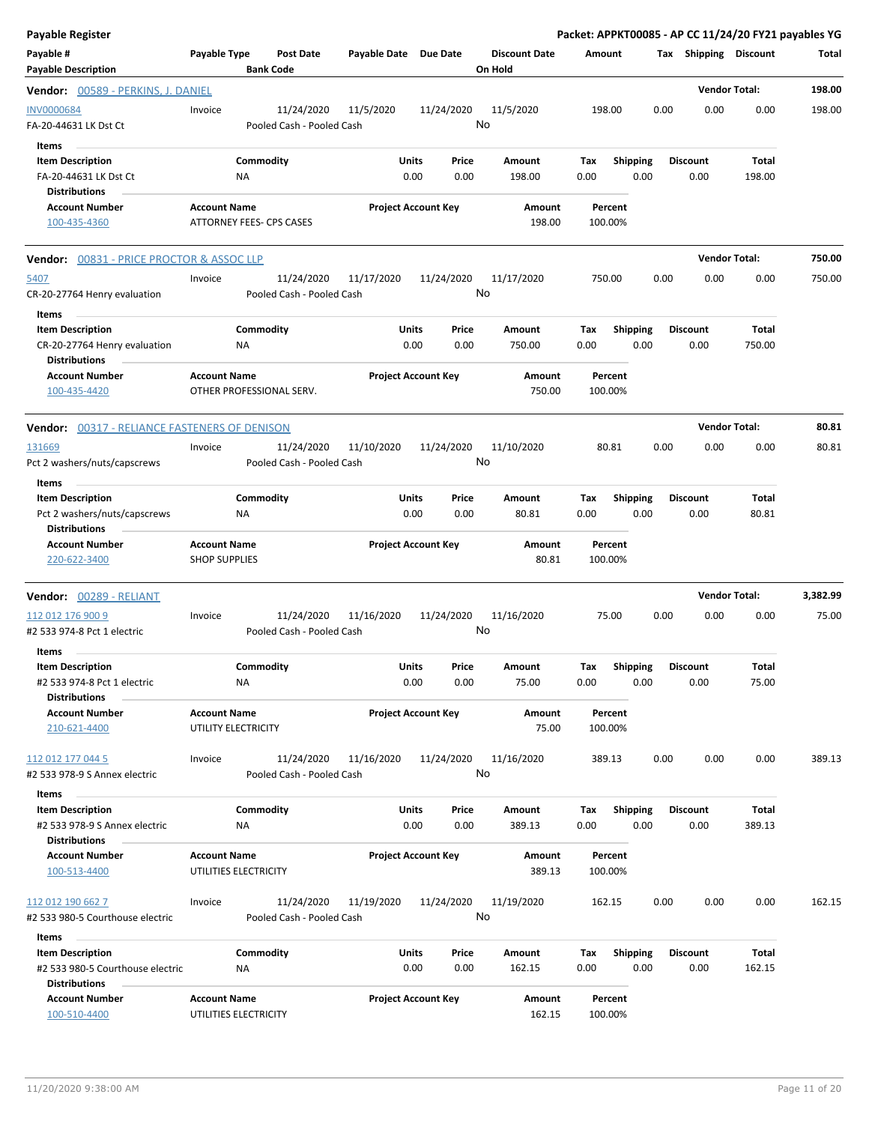| <b>Payable Register</b>                                                           |                                                 |                                         |                       |                            |               |                                 |                    |                         |      |                         |                      | Packet: APPKT00085 - AP CC 11/24/20 FY21 payables YG |
|-----------------------------------------------------------------------------------|-------------------------------------------------|-----------------------------------------|-----------------------|----------------------------|---------------|---------------------------------|--------------------|-------------------------|------|-------------------------|----------------------|------------------------------------------------------|
| Payable #<br><b>Payable Description</b>                                           | Payable Type                                    | <b>Post Date</b><br><b>Bank Code</b>    | Payable Date Due Date |                            |               | <b>Discount Date</b><br>On Hold | Amount             |                         |      | Tax Shipping Discount   |                      | Total                                                |
| <b>Vendor:</b> 00589 - PERKINS, J. DANIEL                                         |                                                 |                                         |                       |                            |               |                                 |                    |                         |      |                         | <b>Vendor Total:</b> | 198.00                                               |
| <b>INV0000684</b><br>FA-20-44631 LK Dst Ct                                        | Invoice                                         | 11/24/2020<br>Pooled Cash - Pooled Cash | 11/5/2020             | 11/24/2020                 | No            | 11/5/2020                       | 198.00             |                         | 0.00 | 0.00                    | 0.00                 | 198.00                                               |
| Items<br><b>Item Description</b><br>FA-20-44631 LK Dst Ct<br><b>Distributions</b> | Commodity<br>ΝA                                 |                                         |                       | Units<br>0.00              | Price<br>0.00 | Amount<br>198.00                | Tax<br>0.00        | <b>Shipping</b><br>0.00 |      | <b>Discount</b><br>0.00 | Total<br>198.00      |                                                      |
| <b>Account Number</b><br>100-435-4360                                             | <b>Account Name</b><br>ATTORNEY FEES- CPS CASES |                                         |                       | <b>Project Account Key</b> |               | Amount<br>198.00                | Percent<br>100.00% |                         |      |                         |                      |                                                      |
| <b>Vendor:</b> 00831 - PRICE PROCTOR & ASSOC LLP                                  |                                                 |                                         |                       |                            |               |                                 |                    |                         |      |                         | <b>Vendor Total:</b> | 750.00                                               |
| 5407<br>CR-20-27764 Henry evaluation<br>Items                                     | Invoice                                         | 11/24/2020<br>Pooled Cash - Pooled Cash | 11/17/2020            | 11/24/2020                 | No            | 11/17/2020                      | 750.00             |                         | 0.00 | 0.00                    | 0.00                 | 750.00                                               |
| <b>Item Description</b><br>CR-20-27764 Henry evaluation<br><b>Distributions</b>   | Commodity<br>ΝA                                 |                                         |                       | Units<br>0.00              | Price<br>0.00 | Amount<br>750.00                | Tax<br>0.00        | <b>Shipping</b><br>0.00 |      | <b>Discount</b><br>0.00 | Total<br>750.00      |                                                      |
| <b>Account Number</b><br>100-435-4420                                             | <b>Account Name</b><br>OTHER PROFESSIONAL SERV. |                                         |                       | <b>Project Account Key</b> |               | Amount<br>750.00                | Percent<br>100.00% |                         |      |                         |                      |                                                      |
| <b>Vendor:</b> 00317 - RELIANCE FASTENERS OF DENISON                              |                                                 |                                         |                       |                            |               |                                 |                    |                         |      |                         | <b>Vendor Total:</b> | 80.81                                                |
| 131669<br>Pct 2 washers/nuts/capscrews<br>Items                                   | Invoice                                         | 11/24/2020<br>Pooled Cash - Pooled Cash | 11/10/2020            | 11/24/2020                 | No            | 11/10/2020                      | 80.81              |                         | 0.00 | 0.00                    | 0.00                 | 80.81                                                |
| <b>Item Description</b><br>Pct 2 washers/nuts/capscrews<br><b>Distributions</b>   | Commodity<br>ΝA                                 |                                         |                       | Units<br>0.00              | Price<br>0.00 | Amount<br>80.81                 | Tax<br>0.00        | <b>Shipping</b><br>0.00 |      | <b>Discount</b><br>0.00 | Total<br>80.81       |                                                      |
| <b>Account Number</b><br>220-622-3400                                             | <b>Account Name</b><br><b>SHOP SUPPLIES</b>     |                                         |                       | <b>Project Account Key</b> |               | Amount<br>80.81                 | Percent<br>100.00% |                         |      |                         |                      |                                                      |
| <b>Vendor:</b> 00289 - RELIANT                                                    |                                                 |                                         |                       |                            |               |                                 |                    |                         |      |                         | <b>Vendor Total:</b> | 3,382.99                                             |
| 112 012 176 900 9<br>#2 533 974-8 Pct 1 electric                                  | Invoice                                         | 11/24/2020<br>Pooled Cash - Pooled Cash | 11/16/2020            | 11/24/2020                 | No            | 11/16/2020                      | 75.00              |                         | 0.00 | 0.00                    | 0.00                 | 75.00                                                |
| Items<br><b>Item Description</b>                                                  | Commodity                                       |                                         |                       | Units                      | Price         | Amount                          | Tax                | Shipping Discount       |      |                         | Total                |                                                      |
| #2 533 974-8 Pct 1 electric<br><b>Distributions</b>                               | NA                                              |                                         |                       | 0.00                       | 0.00          | 75.00                           | 0.00               | 0.00                    |      | 0.00                    | 75.00                |                                                      |
| <b>Account Number</b><br>210-621-4400                                             | <b>Account Name</b><br>UTILITY ELECTRICITY      |                                         |                       | <b>Project Account Key</b> |               | Amount<br>75.00                 | Percent<br>100.00% |                         |      |                         |                      |                                                      |
| 112 012 177 044 5<br>#2 533 978-9 S Annex electric                                | Invoice                                         | 11/24/2020<br>Pooled Cash - Pooled Cash | 11/16/2020            | 11/24/2020                 | No            | 11/16/2020                      | 389.13             |                         | 0.00 | 0.00                    | 0.00                 | 389.13                                               |
| Items                                                                             |                                                 |                                         |                       |                            |               |                                 |                    |                         |      |                         |                      |                                                      |
| <b>Item Description</b><br>#2 533 978-9 S Annex electric<br><b>Distributions</b>  | Commodity<br><b>NA</b>                          |                                         |                       | Units<br>0.00              | Price<br>0.00 | Amount<br>389.13                | Tax<br>0.00        | Shipping<br>0.00        |      | <b>Discount</b><br>0.00 | Total<br>389.13      |                                                      |
| <b>Account Number</b>                                                             | <b>Account Name</b>                             |                                         |                       | <b>Project Account Key</b> |               | Amount                          | Percent            |                         |      |                         |                      |                                                      |
| 100-513-4400                                                                      | UTILITIES ELECTRICITY                           |                                         |                       |                            |               | 389.13                          | 100.00%            |                         |      |                         |                      |                                                      |
| 112 012 190 662 7<br>#2 533 980-5 Courthouse electric                             | Invoice                                         | 11/24/2020<br>Pooled Cash - Pooled Cash | 11/19/2020            | 11/24/2020                 | No            | 11/19/2020                      | 162.15             |                         | 0.00 | 0.00                    | 0.00                 | 162.15                                               |
| Items<br><b>Item Description</b>                                                  | Commodity                                       |                                         |                       | <b>Units</b>               | Price         | Amount                          | Tax                | <b>Shipping</b>         |      | <b>Discount</b>         | Total                |                                                      |
| #2 533 980-5 Courthouse electric<br><b>Distributions</b>                          | NA                                              |                                         |                       | 0.00                       | 0.00          | 162.15                          | 0.00               | 0.00                    |      | 0.00                    | 162.15               |                                                      |
| <b>Account Number</b><br>100-510-4400                                             | <b>Account Name</b><br>UTILITIES ELECTRICITY    |                                         |                       | <b>Project Account Key</b> |               | Amount<br>162.15                | Percent<br>100.00% |                         |      |                         |                      |                                                      |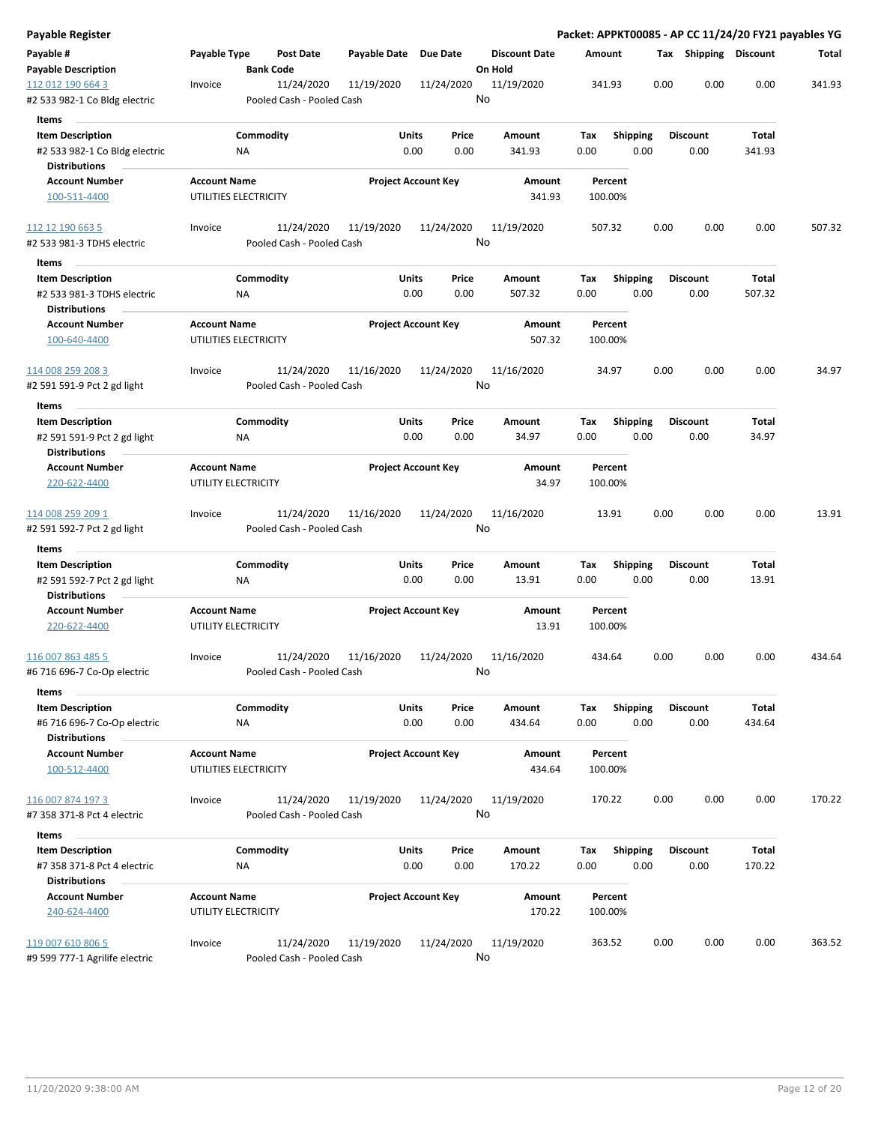| Payable Register                                   |                                            |                                         |                       |                            |                      |                    |                 |      |                       |        | Packet: APPKT00085 - AP CC 11/24/20 FY21 payables YG |
|----------------------------------------------------|--------------------------------------------|-----------------------------------------|-----------------------|----------------------------|----------------------|--------------------|-----------------|------|-----------------------|--------|------------------------------------------------------|
| Payable #                                          | Payable Type                               | <b>Post Date</b>                        | Payable Date Due Date |                            | <b>Discount Date</b> | Amount             |                 |      | Tax Shipping Discount |        | Total                                                |
| <b>Payable Description</b>                         |                                            | <b>Bank Code</b>                        |                       |                            | On Hold              |                    |                 |      |                       |        |                                                      |
| 112 012 190 664 3<br>#2 533 982-1 Co Bldg electric | Invoice                                    | 11/24/2020<br>Pooled Cash - Pooled Cash | 11/19/2020            | 11/24/2020                 | 11/19/2020<br>No     | 341.93             |                 | 0.00 | 0.00                  | 0.00   | 341.93                                               |
| <b>Items</b>                                       |                                            |                                         |                       |                            |                      |                    |                 |      |                       |        |                                                      |
| <b>Item Description</b>                            |                                            | Commodity                               | Units                 | Price                      | Amount               | Tax                | <b>Shipping</b> |      | <b>Discount</b>       | Total  |                                                      |
| #2 533 982-1 Co Bldg electric                      |                                            | ΝA                                      |                       | 0.00<br>0.00               | 341.93               | 0.00               | 0.00            |      | 0.00                  | 341.93 |                                                      |
| <b>Distributions</b>                               |                                            |                                         |                       |                            |                      |                    |                 |      |                       |        |                                                      |
| <b>Account Number</b>                              | <b>Account Name</b>                        |                                         |                       | <b>Project Account Key</b> | Amount               |                    | Percent         |      |                       |        |                                                      |
| 100-511-4400                                       |                                            | UTILITIES ELECTRICITY                   |                       |                            | 341.93               | 100.00%            |                 |      |                       |        |                                                      |
| 112 12 190 663 5                                   | Invoice                                    | 11/24/2020                              | 11/19/2020            | 11/24/2020                 | 11/19/2020           | 507.32             |                 | 0.00 | 0.00                  | 0.00   | 507.32                                               |
| #2 533 981-3 TDHS electric                         |                                            | Pooled Cash - Pooled Cash               |                       |                            | No                   |                    |                 |      |                       |        |                                                      |
| Items                                              |                                            |                                         |                       |                            |                      |                    |                 |      |                       |        |                                                      |
| <b>Item Description</b>                            |                                            | Commodity                               |                       | Units<br>Price             | Amount               | Tax                | <b>Shipping</b> |      | <b>Discount</b>       | Total  |                                                      |
| #2 533 981-3 TDHS electric<br><b>Distributions</b> |                                            | NA                                      |                       | 0.00<br>0.00               | 507.32               | 0.00               | 0.00            |      | 0.00                  | 507.32 |                                                      |
| <b>Account Number</b>                              | <b>Account Name</b>                        |                                         |                       | <b>Project Account Key</b> | <b>Amount</b>        | Percent            |                 |      |                       |        |                                                      |
| 100-640-4400                                       |                                            | UTILITIES ELECTRICITY                   |                       |                            | 507.32               | 100.00%            |                 |      |                       |        |                                                      |
| 114 008 259 208 3                                  | Invoice                                    | 11/24/2020                              | 11/16/2020            | 11/24/2020                 | 11/16/2020           | 34.97              |                 | 0.00 | 0.00                  | 0.00   | 34.97                                                |
| #2 591 591-9 Pct 2 gd light                        |                                            | Pooled Cash - Pooled Cash               |                       |                            | No                   |                    |                 |      |                       |        |                                                      |
| Items                                              |                                            |                                         |                       |                            |                      |                    |                 |      |                       |        |                                                      |
| <b>Item Description</b>                            |                                            | Commodity                               |                       | Units<br>Price             | Amount               | Tax                | <b>Shipping</b> |      | <b>Discount</b>       | Total  |                                                      |
| #2 591 591-9 Pct 2 gd light                        |                                            | ΝA                                      |                       | 0.00<br>0.00               | 34.97                | 0.00               | 0.00            |      | 0.00                  | 34.97  |                                                      |
| <b>Distributions</b>                               |                                            |                                         |                       |                            |                      |                    |                 |      |                       |        |                                                      |
| <b>Account Number</b>                              | <b>Account Name</b>                        |                                         |                       | <b>Project Account Key</b> | Amount               | Percent            |                 |      |                       |        |                                                      |
| 220-622-4400                                       | UTILITY ELECTRICITY                        |                                         |                       |                            | 34.97                | 100.00%            |                 |      |                       |        |                                                      |
| 114 008 259 209 1                                  | Invoice                                    | 11/24/2020                              | 11/16/2020            | 11/24/2020                 | 11/16/2020           | 13.91              |                 | 0.00 | 0.00                  | 0.00   | 13.91                                                |
| #2 591 592-7 Pct 2 gd light                        |                                            | Pooled Cash - Pooled Cash               |                       |                            | No                   |                    |                 |      |                       |        |                                                      |
| Items                                              |                                            |                                         |                       |                            |                      |                    |                 |      |                       |        |                                                      |
| <b>Item Description</b>                            |                                            | Commodity                               | Units                 | Price                      | Amount               | Tax                | Shipping        |      | <b>Discount</b>       | Total  |                                                      |
| #2 591 592-7 Pct 2 gd light                        |                                            | ΝA                                      |                       | 0.00<br>0.00               | 13.91                | 0.00               | 0.00            |      | 0.00                  | 13.91  |                                                      |
| <b>Distributions</b>                               |                                            |                                         |                       |                            |                      |                    |                 |      |                       |        |                                                      |
| <b>Account Number</b><br>220-622-4400              | <b>Account Name</b><br>UTILITY ELECTRICITY |                                         |                       | <b>Project Account Key</b> | Amount<br>13.91      | Percent<br>100.00% |                 |      |                       |        |                                                      |
| 116 007 863 485 5                                  | Invoice                                    | 11/24/2020                              | 11/16/2020            | 11/24/2020                 | 11/16/2020           | 434.64             |                 | 0.00 | 0.00                  | 0.00   | 434.64                                               |
| #6 716 696-7 Co-Op electric                        |                                            | Pooled Cash - Pooled Cash               |                       |                            | No                   |                    |                 |      |                       |        |                                                      |
| Items                                              |                                            |                                         |                       |                            |                      |                    |                 |      |                       |        |                                                      |
| <b>Item Description</b>                            |                                            | Commodity                               |                       | Units<br>Price             | Amount               | Tax                | Shipping        |      | Discount              | Total  |                                                      |
| #6 716 696-7 Co-Op electric                        |                                            | <b>NA</b>                               |                       | 0.00<br>0.00               | 434.64               | 0.00               | 0.00            |      | 0.00                  | 434.64 |                                                      |
| <b>Distributions</b><br><b>Account Number</b>      | <b>Account Name</b>                        |                                         |                       | <b>Project Account Key</b> | Amount               |                    | Percent         |      |                       |        |                                                      |
| 100-512-4400                                       |                                            | UTILITIES ELECTRICITY                   |                       |                            | 434.64               | 100.00%            |                 |      |                       |        |                                                      |
| 116 007 874 197 3                                  | Invoice                                    | 11/24/2020                              | 11/19/2020            | 11/24/2020                 | 11/19/2020           | 170.22             |                 | 0.00 | 0.00                  | 0.00   | 170.22                                               |
| #7 358 371-8 Pct 4 electric                        |                                            | Pooled Cash - Pooled Cash               |                       |                            | No                   |                    |                 |      |                       |        |                                                      |
| Items                                              |                                            |                                         |                       |                            |                      |                    |                 |      |                       |        |                                                      |
| <b>Item Description</b>                            |                                            | Commodity                               |                       | Units<br>Price             | Amount               | Tax                | <b>Shipping</b> |      | <b>Discount</b>       | Total  |                                                      |
| #7 358 371-8 Pct 4 electric                        |                                            | ΝA                                      |                       | 0.00<br>0.00               | 170.22               | 0.00               | 0.00            |      | 0.00                  | 170.22 |                                                      |
| <b>Distributions</b>                               |                                            |                                         |                       |                            |                      |                    |                 |      |                       |        |                                                      |
| <b>Account Number</b>                              | <b>Account Name</b>                        |                                         |                       | <b>Project Account Key</b> | Amount               |                    | Percent         |      |                       |        |                                                      |
| 240-624-4400                                       | UTILITY ELECTRICITY                        |                                         |                       |                            | 170.22               | 100.00%            |                 |      |                       |        |                                                      |
| 119 007 610 806 5                                  | Invoice                                    | 11/24/2020                              | 11/19/2020            | 11/24/2020                 | 11/19/2020           | 363.52             |                 | 0.00 | 0.00                  | 0.00   | 363.52                                               |
| #9 599 777-1 Agrilife electric                     |                                            | Pooled Cash - Pooled Cash               |                       |                            | No                   |                    |                 |      |                       |        |                                                      |
|                                                    |                                            |                                         |                       |                            |                      |                    |                 |      |                       |        |                                                      |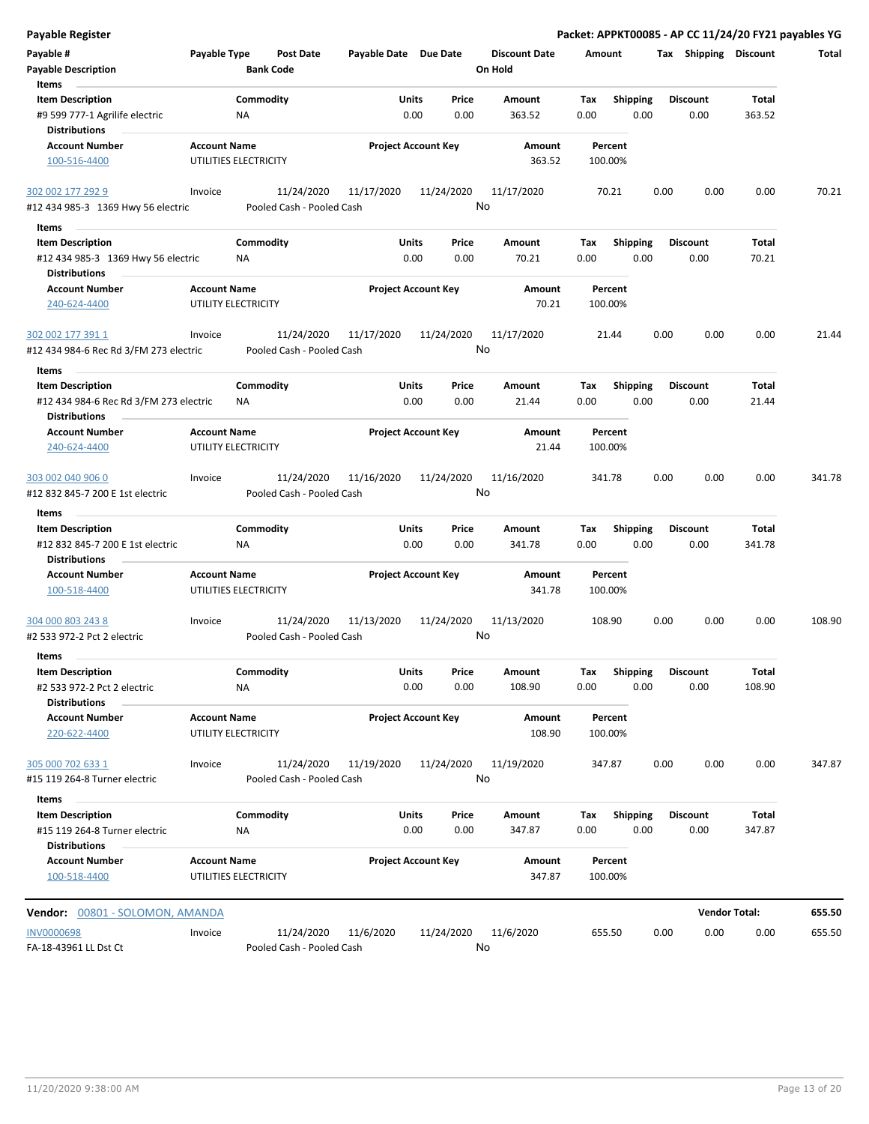| <b>Payable Register</b>                                                               |                                              |                        |                                         |                            |               |               |                                 |                    |                         |      |                         | Packet: APPKT00085 - AP CC 11/24/20 FY21 payables YG |        |
|---------------------------------------------------------------------------------------|----------------------------------------------|------------------------|-----------------------------------------|----------------------------|---------------|---------------|---------------------------------|--------------------|-------------------------|------|-------------------------|------------------------------------------------------|--------|
| Payable #<br><b>Payable Description</b>                                               | Payable Type                                 |                        | <b>Post Date</b><br><b>Bank Code</b>    | Payable Date Due Date      |               |               | <b>Discount Date</b><br>On Hold | Amount             |                         |      | Tax Shipping Discount   |                                                      | Total  |
| Items                                                                                 |                                              |                        |                                         |                            |               |               |                                 |                    |                         |      |                         |                                                      |        |
| <b>Item Description</b><br>#9 599 777-1 Agrilife electric                             |                                              | Commodity<br><b>NA</b> |                                         |                            | Units<br>0.00 | Price<br>0.00 | Amount<br>363.52                | Tax<br>0.00        | <b>Shipping</b><br>0.00 |      | <b>Discount</b><br>0.00 | Total<br>363.52                                      |        |
| <b>Distributions</b>                                                                  |                                              |                        |                                         |                            |               |               |                                 |                    |                         |      |                         |                                                      |        |
| <b>Account Number</b><br>100-516-4400                                                 | <b>Account Name</b><br>UTILITIES ELECTRICITY |                        |                                         | <b>Project Account Key</b> |               |               | Amount<br>363.52                | Percent<br>100.00% |                         |      |                         |                                                      |        |
| 302 002 177 292 9                                                                     | Invoice                                      |                        | 11/24/2020                              | 11/17/2020                 | 11/24/2020    |               | 11/17/2020                      | 70.21              |                         | 0.00 | 0.00                    | 0.00                                                 | 70.21  |
| #12 434 985-3 1369 Hwy 56 electric                                                    |                                              |                        | Pooled Cash - Pooled Cash               |                            |               |               | No                              |                    |                         |      |                         |                                                      |        |
| Items                                                                                 |                                              |                        |                                         |                            |               |               |                                 |                    |                         |      |                         |                                                      |        |
| <b>Item Description</b><br>#12 434 985-3 1369 Hwy 56 electric<br><b>Distributions</b> |                                              | Commodity<br><b>NA</b> |                                         |                            | Units<br>0.00 | Price<br>0.00 | Amount<br>70.21                 | Tax<br>0.00        | <b>Shipping</b><br>0.00 |      | <b>Discount</b><br>0.00 | Total<br>70.21                                       |        |
| <b>Account Number</b>                                                                 | <b>Account Name</b>                          |                        |                                         | <b>Project Account Key</b> |               |               | Amount                          | Percent            |                         |      |                         |                                                      |        |
| 240-624-4400                                                                          | UTILITY ELECTRICITY                          |                        |                                         |                            |               |               | 70.21                           | 100.00%            |                         |      |                         |                                                      |        |
| 302 002 177 391 1                                                                     | Invoice                                      |                        | 11/24/2020                              | 11/17/2020                 | 11/24/2020    |               | 11/17/2020                      | 21.44              |                         | 0.00 | 0.00                    | 0.00                                                 | 21.44  |
| #12 434 984-6 Rec Rd 3/FM 273 electric                                                |                                              |                        | Pooled Cash - Pooled Cash               |                            |               |               | No                              |                    |                         |      |                         |                                                      |        |
| Items                                                                                 |                                              |                        |                                         |                            |               |               |                                 |                    |                         |      |                         |                                                      |        |
| <b>Item Description</b>                                                               |                                              | Commodity              |                                         |                            | Units         | Price         | Amount                          | Tax                | <b>Shipping</b>         |      | <b>Discount</b>         | Total                                                |        |
| #12 434 984-6 Rec Rd 3/FM 273 electric<br><b>Distributions</b>                        |                                              | <b>NA</b>              |                                         |                            | 0.00          | 0.00          | 21.44                           | 0.00               | 0.00                    |      | 0.00                    | 21.44                                                |        |
| <b>Account Number</b>                                                                 | <b>Account Name</b>                          |                        |                                         | <b>Project Account Key</b> |               |               | Amount                          | Percent            |                         |      |                         |                                                      |        |
| 240-624-4400                                                                          | UTILITY ELECTRICITY                          |                        |                                         |                            |               |               | 21.44                           | 100.00%            |                         |      |                         |                                                      |        |
| 303 002 040 906 0<br>#12 832 845-7 200 E 1st electric                                 | Invoice                                      |                        | 11/24/2020<br>Pooled Cash - Pooled Cash | 11/16/2020                 | 11/24/2020    |               | 11/16/2020<br>No                | 341.78             |                         | 0.00 | 0.00                    | 0.00                                                 | 341.78 |
|                                                                                       |                                              |                        |                                         |                            |               |               |                                 |                    |                         |      |                         |                                                      |        |
| Items<br><b>Item Description</b>                                                      |                                              | Commodity              |                                         |                            | Units         | Price         | Amount                          | Tax                | <b>Shipping</b>         |      | <b>Discount</b>         | Total                                                |        |
| #12 832 845-7 200 E 1st electric<br><b>Distributions</b>                              |                                              | <b>NA</b>              |                                         |                            | 0.00          | 0.00          | 341.78                          | 0.00               | 0.00                    |      | 0.00                    | 341.78                                               |        |
| <b>Account Number</b>                                                                 | <b>Account Name</b>                          |                        |                                         | <b>Project Account Key</b> |               |               | Amount                          | Percent            |                         |      |                         |                                                      |        |
| 100-518-4400                                                                          | UTILITIES ELECTRICITY                        |                        |                                         |                            |               |               | 341.78                          | 100.00%            |                         |      |                         |                                                      |        |
| 304 000 803 243 8<br>#2 533 972-2 Pct 2 electric                                      | Invoice                                      |                        | 11/24/2020<br>Pooled Cash - Pooled Cash | 11/13/2020                 | 11/24/2020    |               | 11/13/2020<br>No                | 108.90             |                         | 0.00 | 0.00                    | 0.00                                                 | 108.90 |
| Items                                                                                 |                                              |                        |                                         |                            |               |               |                                 |                    |                         |      |                         |                                                      |        |
| <b>Item Description</b>                                                               |                                              | Commodity              |                                         |                            | Units         | Price         | Amount                          | Tax                | Shipping                |      | <b>Discount</b>         | Total                                                |        |
| #2 533 972-2 Pct 2 electric                                                           |                                              | <b>NA</b>              |                                         |                            | 0.00          | 0.00          | 108.90                          | 0.00               | 0.00                    |      | 0.00                    | 108.90                                               |        |
| <b>Distributions</b>                                                                  |                                              |                        |                                         |                            |               |               |                                 |                    |                         |      |                         |                                                      |        |
| <b>Account Number</b><br>220-622-4400                                                 | <b>Account Name</b><br>UTILITY ELECTRICITY   |                        |                                         | <b>Project Account Key</b> |               |               | <b>Amount</b><br>108.90         | Percent<br>100.00% |                         |      |                         |                                                      |        |
| 305 000 702 633 1                                                                     | Invoice                                      |                        | 11/24/2020                              | 11/19/2020                 | 11/24/2020    |               | 11/19/2020                      | 347.87             |                         | 0.00 | 0.00                    | 0.00                                                 | 347.87 |
| #15 119 264-8 Turner electric                                                         |                                              |                        | Pooled Cash - Pooled Cash               |                            |               |               | No                              |                    |                         |      |                         |                                                      |        |
|                                                                                       |                                              |                        |                                         |                            |               |               |                                 |                    |                         |      |                         |                                                      |        |
| Items<br><b>Item Description</b>                                                      |                                              | Commodity              |                                         |                            | Units         | Price         | Amount                          | Tax                | <b>Shipping</b>         |      | <b>Discount</b>         | Total                                                |        |
| #15 119 264-8 Turner electric<br><b>Distributions</b>                                 |                                              | NA                     |                                         |                            | 0.00          | 0.00          | 347.87                          | 0.00               | 0.00                    |      | 0.00                    | 347.87                                               |        |
| <b>Account Number</b><br>100-518-4400                                                 | <b>Account Name</b><br>UTILITIES ELECTRICITY |                        |                                         | <b>Project Account Key</b> |               |               | Amount<br>347.87                | Percent<br>100.00% |                         |      |                         |                                                      |        |
| Vendor: 00801 - SOLOMON, AMANDA                                                       |                                              |                        |                                         |                            |               |               |                                 |                    |                         |      |                         | <b>Vendor Total:</b>                                 | 655.50 |
| <b>INV0000698</b>                                                                     | Invoice                                      |                        | 11/24/2020                              | 11/6/2020                  | 11/24/2020    |               | 11/6/2020                       | 655.50             |                         | 0.00 | 0.00                    | 0.00                                                 | 655.50 |
| FA-18-43961 LL Dst Ct                                                                 |                                              |                        | Pooled Cash - Pooled Cash               |                            |               |               | No                              |                    |                         |      |                         |                                                      |        |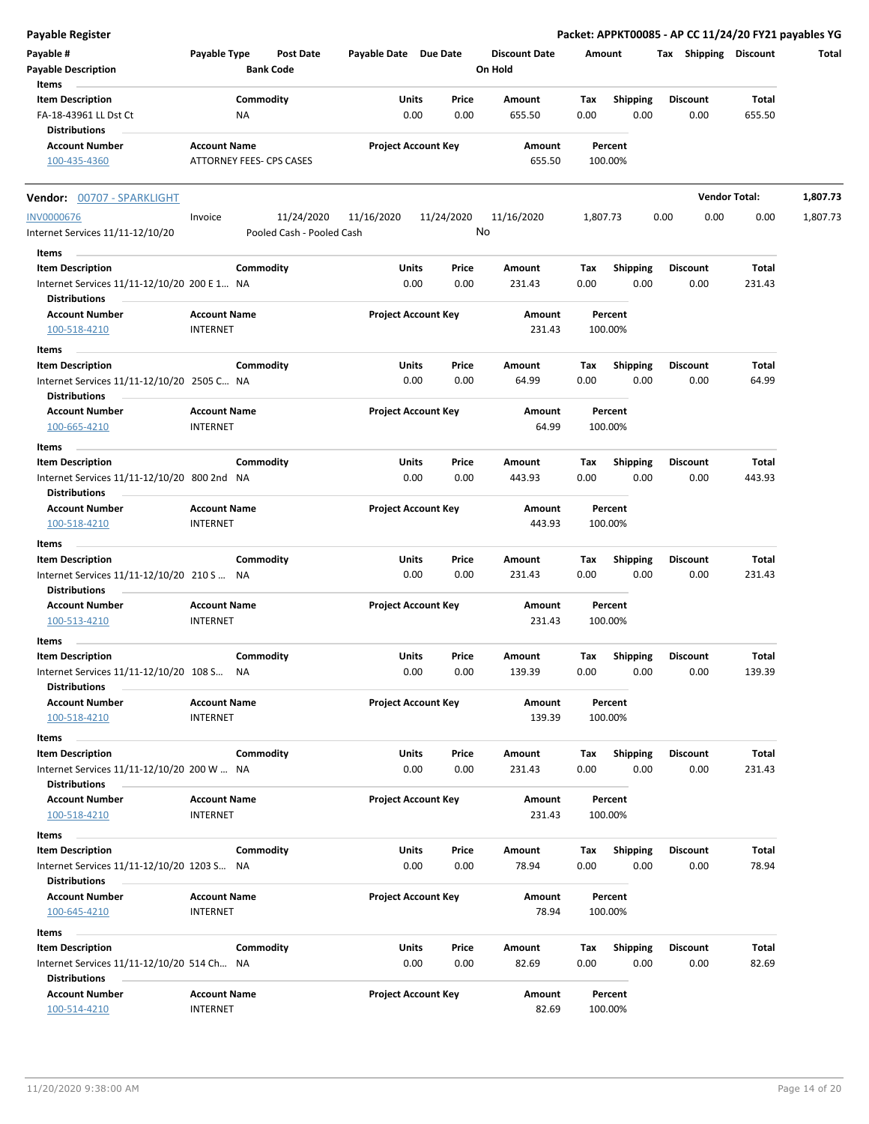| <b>Payable Register</b>                                             |                     |                           |                            |              |            |                      |          |                         |      |                 |                       | Packet: APPKT00085 - AP CC 11/24/20 FY21 payables YG |
|---------------------------------------------------------------------|---------------------|---------------------------|----------------------------|--------------|------------|----------------------|----------|-------------------------|------|-----------------|-----------------------|------------------------------------------------------|
| Payable #                                                           | Payable Type        | <b>Post Date</b>          | Payable Date Due Date      |              |            | <b>Discount Date</b> | Amount   |                         |      |                 | Tax Shipping Discount | Total                                                |
| <b>Payable Description</b>                                          |                     | <b>Bank Code</b>          |                            |              |            | On Hold              |          |                         |      |                 |                       |                                                      |
| Items                                                               |                     |                           |                            |              |            |                      |          |                         |      |                 |                       |                                                      |
| <b>Item Description</b>                                             |                     | Commodity                 |                            | Units        | Price      | Amount               | Tax      | <b>Shipping</b>         |      | <b>Discount</b> | Total                 |                                                      |
| FA-18-43961 LL Dst Ct                                               |                     | <b>NA</b>                 |                            | 0.00         | 0.00       | 655.50               | 0.00     | 0.00                    |      | 0.00            | 655.50                |                                                      |
| <b>Distributions</b>                                                |                     |                           |                            |              |            |                      |          |                         |      |                 |                       |                                                      |
| <b>Account Number</b>                                               | <b>Account Name</b> |                           | <b>Project Account Key</b> |              |            | Amount               |          | Percent                 |      |                 |                       |                                                      |
| 100-435-4360                                                        |                     | ATTORNEY FEES- CPS CASES  |                            |              |            | 655.50               |          | 100.00%                 |      |                 |                       |                                                      |
| Vendor: 00707 - SPARKLIGHT                                          |                     |                           |                            |              |            |                      |          |                         |      |                 | <b>Vendor Total:</b>  | 1,807.73                                             |
| <b>INV0000676</b>                                                   | Invoice             | 11/24/2020                | 11/16/2020                 |              | 11/24/2020 | 11/16/2020           | 1,807.73 |                         | 0.00 | 0.00            | 0.00                  | 1,807.73                                             |
| Internet Services 11/11-12/10/20                                    |                     | Pooled Cash - Pooled Cash |                            |              | No         |                      |          |                         |      |                 |                       |                                                      |
| Items                                                               |                     |                           |                            |              |            |                      |          |                         |      |                 |                       |                                                      |
| <b>Item Description</b>                                             |                     | Commodity                 | Units                      |              | Price      | Amount               | Tax      | <b>Shipping</b>         |      | <b>Discount</b> | Total                 |                                                      |
| Internet Services 11/11-12/10/20 200 E 1 NA                         |                     |                           |                            | 0.00         | 0.00       | 231.43               | 0.00     | 0.00                    |      | 0.00            | 231.43                |                                                      |
| <b>Distributions</b>                                                |                     |                           |                            |              |            |                      |          |                         |      |                 |                       |                                                      |
| <b>Account Number</b>                                               | <b>Account Name</b> |                           | <b>Project Account Key</b> |              |            | Amount               |          | Percent                 |      |                 |                       |                                                      |
| 100-518-4210                                                        | INTERNET            |                           |                            |              |            | 231.43               |          | 100.00%                 |      |                 |                       |                                                      |
|                                                                     |                     |                           |                            |              |            |                      |          |                         |      |                 |                       |                                                      |
| Items                                                               |                     |                           |                            |              |            |                      |          |                         |      |                 |                       |                                                      |
| <b>Item Description</b>                                             |                     | Commodity                 |                            | Units        | Price      | Amount               | Tax      | <b>Shipping</b>         |      | <b>Discount</b> | Total                 |                                                      |
| Internet Services 11/11-12/10/20 2505 C NA                          |                     |                           |                            | 0.00         | 0.00       | 64.99                | 0.00     | 0.00                    |      | 0.00            | 64.99                 |                                                      |
| <b>Distributions</b>                                                |                     |                           |                            |              |            |                      |          |                         |      |                 |                       |                                                      |
| <b>Account Number</b>                                               | <b>Account Name</b> |                           | <b>Project Account Key</b> |              |            | Amount               |          | Percent                 |      |                 |                       |                                                      |
| 100-665-4210                                                        | <b>INTERNET</b>     |                           |                            |              |            | 64.99                |          | 100.00%                 |      |                 |                       |                                                      |
| Items                                                               |                     |                           |                            |              |            |                      |          |                         |      |                 |                       |                                                      |
| <b>Item Description</b>                                             |                     | Commodity                 |                            | <b>Units</b> | Price      | Amount               | Tax      | <b>Shipping</b>         |      | <b>Discount</b> | Total                 |                                                      |
| Internet Services 11/11-12/10/20 800 2nd NA<br><b>Distributions</b> |                     |                           |                            | 0.00         | 0.00       | 443.93               | 0.00     | 0.00                    |      | 0.00            | 443.93                |                                                      |
| <b>Account Number</b>                                               | <b>Account Name</b> |                           | <b>Project Account Key</b> |              |            | Amount               |          | Percent                 |      |                 |                       |                                                      |
| 100-518-4210                                                        | <b>INTERNET</b>     |                           |                            |              |            | 443.93               |          | 100.00%                 |      |                 |                       |                                                      |
| Items                                                               |                     |                           |                            |              |            |                      |          |                         |      |                 |                       |                                                      |
| <b>Item Description</b>                                             |                     | Commodity                 | Units                      |              | Price      | Amount               | Tax      | <b>Shipping</b>         |      | <b>Discount</b> | Total                 |                                                      |
| Internet Services 11/11-12/10/20 210 S  NA                          |                     |                           |                            | 0.00         | 0.00       | 231.43               | 0.00     | 0.00                    |      | 0.00            | 231.43                |                                                      |
| <b>Distributions</b>                                                |                     |                           |                            |              |            |                      |          |                         |      |                 |                       |                                                      |
| <b>Account Number</b>                                               | <b>Account Name</b> |                           | <b>Project Account Key</b> |              |            | Amount               |          | Percent                 |      |                 |                       |                                                      |
| 100-513-4210                                                        | <b>INTERNET</b>     |                           |                            |              |            | 231.43               |          | 100.00%                 |      |                 |                       |                                                      |
| Items                                                               |                     |                           |                            |              |            |                      |          |                         |      |                 |                       |                                                      |
| <b>Item Description</b>                                             |                     | Commodity                 | Units                      |              | Price      | Amount               | Tax      |                         |      | <b>Discount</b> | Total                 |                                                      |
| Internet Services 11/11-12/10/20 108 S NA                           |                     |                           |                            | 0.00         | 0.00       | 139.39               | 0.00     | <b>Shipping</b><br>0.00 |      | 0.00            | 139.39                |                                                      |
| <b>Distributions</b>                                                |                     |                           |                            |              |            |                      |          |                         |      |                 |                       |                                                      |
| <b>Account Number</b>                                               | <b>Account Name</b> |                           | <b>Project Account Key</b> |              |            | Amount               |          | Percent                 |      |                 |                       |                                                      |
| 100-518-4210                                                        | <b>INTERNET</b>     |                           |                            |              |            | 139.39               |          | 100.00%                 |      |                 |                       |                                                      |
|                                                                     |                     |                           |                            |              |            |                      |          |                         |      |                 |                       |                                                      |
| Items                                                               |                     |                           |                            |              |            |                      |          |                         |      |                 |                       |                                                      |
| <b>Item Description</b>                                             |                     | Commodity                 |                            | Units        | Price      | Amount               | Tax      | <b>Shipping</b>         |      | <b>Discount</b> | Total                 |                                                      |
| Internet Services 11/11-12/10/20 200 W  NA                          |                     |                           |                            | 0.00         | 0.00       | 231.43               | 0.00     | 0.00                    |      | 0.00            | 231.43                |                                                      |
| <b>Distributions</b>                                                |                     |                           |                            |              |            |                      |          |                         |      |                 |                       |                                                      |
| <b>Account Number</b>                                               | <b>Account Name</b> |                           | <b>Project Account Key</b> |              |            | Amount               |          | Percent                 |      |                 |                       |                                                      |
| 100-518-4210                                                        | <b>INTERNET</b>     |                           |                            |              |            | 231.43               |          | 100.00%                 |      |                 |                       |                                                      |
| Items                                                               |                     |                           |                            |              |            |                      |          |                         |      |                 |                       |                                                      |
| <b>Item Description</b>                                             |                     | Commodity                 |                            | <b>Units</b> | Price      | Amount               | Tax      | <b>Shipping</b>         |      | <b>Discount</b> | Total                 |                                                      |
| Internet Services 11/11-12/10/20 1203 S NA                          |                     |                           |                            | 0.00         | 0.00       | 78.94                | 0.00     | 0.00                    |      | 0.00            | 78.94                 |                                                      |
| <b>Distributions</b>                                                |                     |                           |                            |              |            |                      |          |                         |      |                 |                       |                                                      |
| <b>Account Number</b>                                               | <b>Account Name</b> |                           | <b>Project Account Key</b> |              |            | Amount               |          | Percent                 |      |                 |                       |                                                      |
| 100-645-4210                                                        | <b>INTERNET</b>     |                           |                            |              |            | 78.94                |          | 100.00%                 |      |                 |                       |                                                      |
| Items                                                               |                     |                           |                            |              |            |                      |          |                         |      |                 |                       |                                                      |
| <b>Item Description</b>                                             |                     | Commodity                 |                            | Units        | Price      | Amount               | Tax      | <b>Shipping</b>         |      | <b>Discount</b> | Total                 |                                                      |
| Internet Services 11/11-12/10/20 514 Ch NA<br><b>Distributions</b>  |                     |                           |                            | 0.00         | 0.00       | 82.69                | 0.00     | 0.00                    |      | 0.00            | 82.69                 |                                                      |
| <b>Account Number</b>                                               |                     |                           |                            |              |            |                      |          |                         |      |                 |                       |                                                      |
|                                                                     | <b>Account Name</b> |                           | <b>Project Account Key</b> |              |            | Amount               |          | Percent                 |      |                 |                       |                                                      |
| 100-514-4210                                                        | <b>INTERNET</b>     |                           |                            |              |            | 82.69                |          | 100.00%                 |      |                 |                       |                                                      |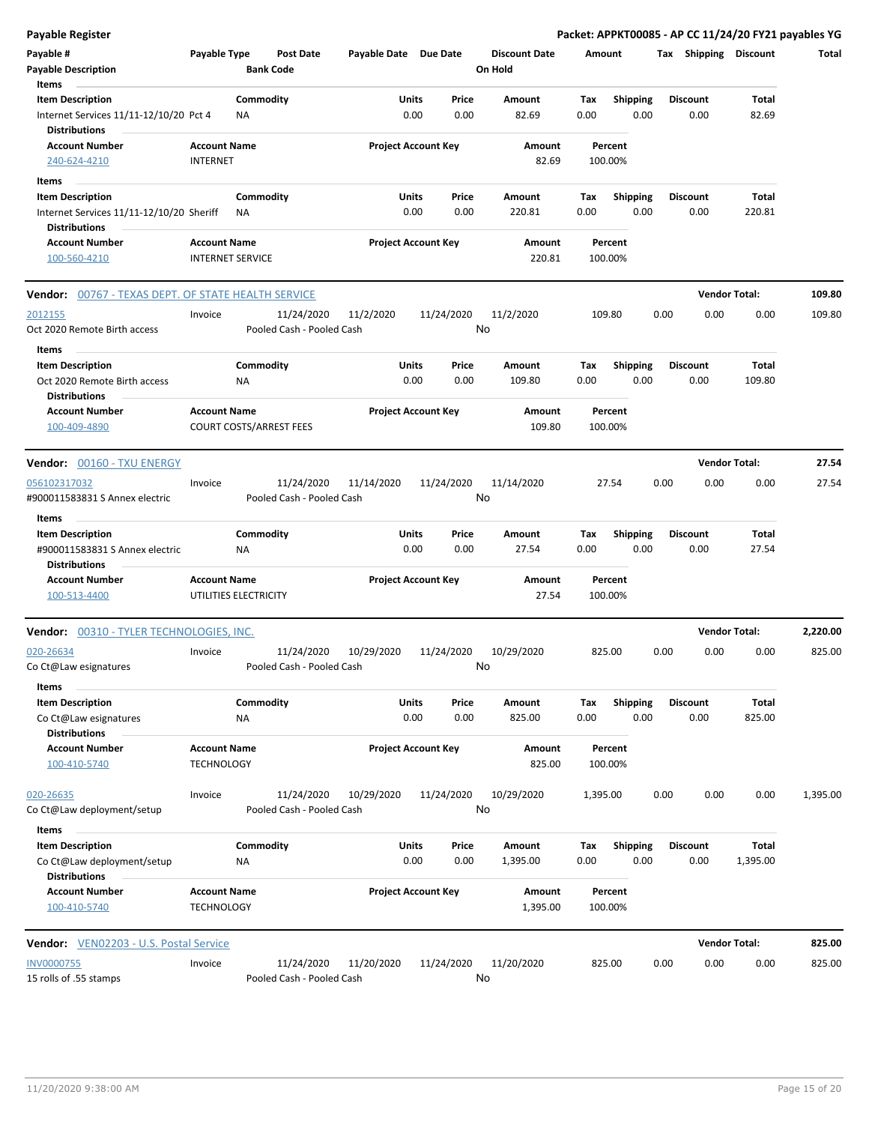| <b>Payable Register</b>                                        |                                          |                         |                                |                       |                            |               |                      |                    |                         |      |                         | Packet: APPKT00085 - AP CC 11/24/20 FY21 payables YG |          |
|----------------------------------------------------------------|------------------------------------------|-------------------------|--------------------------------|-----------------------|----------------------------|---------------|----------------------|--------------------|-------------------------|------|-------------------------|------------------------------------------------------|----------|
| Payable #                                                      | Payable Type                             |                         | Post Date                      | Payable Date Due Date |                            |               | <b>Discount Date</b> | Amount             |                         |      | Tax Shipping Discount   |                                                      | Total    |
| <b>Payable Description</b>                                     |                                          |                         | <b>Bank Code</b>               |                       |                            |               | On Hold              |                    |                         |      |                         |                                                      |          |
| Items                                                          |                                          |                         |                                |                       |                            |               |                      |                    |                         |      |                         |                                                      |          |
| <b>Item Description</b>                                        |                                          | Commodity               |                                |                       | Units                      | Price         | Amount               | Tax                | <b>Shipping</b>         |      | <b>Discount</b>         | Total                                                |          |
| Internet Services 11/11-12/10/20 Pct 4<br><b>Distributions</b> |                                          | NA                      |                                |                       | 0.00                       | 0.00          | 82.69                | 0.00               | 0.00                    |      | 0.00                    | 82.69                                                |          |
| <b>Account Number</b><br>240-624-4210                          | <b>Account Name</b><br><b>INTERNET</b>   |                         |                                |                       | <b>Project Account Key</b> |               | Amount<br>82.69      | Percent<br>100.00% |                         |      |                         |                                                      |          |
| Items                                                          |                                          |                         |                                |                       |                            |               |                      |                    |                         |      |                         |                                                      |          |
| <b>Item Description</b>                                        |                                          | Commodity               |                                |                       | Units                      | Price         | Amount               | Tax                | <b>Shipping</b>         |      | <b>Discount</b>         | Total                                                |          |
| Internet Services 11/11-12/10/20 Sheriff                       |                                          | ΝA                      |                                |                       | 0.00                       | 0.00          | 220.81               | 0.00               | 0.00                    |      | 0.00                    | 220.81                                               |          |
| <b>Distributions</b>                                           |                                          |                         |                                |                       |                            |               |                      |                    |                         |      |                         |                                                      |          |
| <b>Account Number</b>                                          | <b>Account Name</b>                      |                         |                                |                       | <b>Project Account Key</b> |               | Amount               | Percent            |                         |      |                         |                                                      |          |
| 100-560-4210                                                   |                                          | <b>INTERNET SERVICE</b> |                                |                       |                            |               | 220.81               | 100.00%            |                         |      |                         |                                                      |          |
| <b>Vendor: 00767 - TEXAS DEPT. OF STATE HEALTH SERVICE</b>     |                                          |                         |                                |                       |                            |               |                      |                    |                         |      | <b>Vendor Total:</b>    |                                                      | 109.80   |
| 2012155                                                        | Invoice                                  |                         | 11/24/2020                     | 11/2/2020             |                            | 11/24/2020    | 11/2/2020            | 109.80             |                         | 0.00 | 0.00                    | 0.00                                                 | 109.80   |
| Oct 2020 Remote Birth access                                   |                                          |                         | Pooled Cash - Pooled Cash      |                       |                            | No            |                      |                    |                         |      |                         |                                                      |          |
|                                                                |                                          |                         |                                |                       |                            |               |                      |                    |                         |      |                         |                                                      |          |
| Items                                                          |                                          | Commodity               |                                |                       | Units                      | Price         | Amount               | Tax                | <b>Shipping</b>         |      | <b>Discount</b>         | Total                                                |          |
| <b>Item Description</b><br>Oct 2020 Remote Birth access        |                                          | ΝA                      |                                |                       | 0.00                       | 0.00          | 109.80               | 0.00               | 0.00                    |      | 0.00                    | 109.80                                               |          |
| <b>Distributions</b>                                           |                                          |                         |                                |                       |                            |               |                      |                    |                         |      |                         |                                                      |          |
| <b>Account Number</b><br>100-409-4890                          | <b>Account Name</b>                      |                         | <b>COURT COSTS/ARREST FEES</b> |                       | <b>Project Account Key</b> |               | Amount<br>109.80     | Percent<br>100.00% |                         |      |                         |                                                      |          |
| <b>Vendor: 00160 - TXU ENERGY</b>                              |                                          |                         |                                |                       |                            |               |                      |                    |                         |      | <b>Vendor Total:</b>    |                                                      | 27.54    |
| 056102317032                                                   | Invoice                                  |                         | 11/24/2020                     | 11/14/2020            |                            | 11/24/2020    | 11/14/2020           | 27.54              |                         | 0.00 | 0.00                    | 0.00                                                 | 27.54    |
| #900011583831 S Annex electric                                 |                                          |                         | Pooled Cash - Pooled Cash      |                       |                            | No            |                      |                    |                         |      |                         |                                                      |          |
| Items                                                          |                                          |                         |                                |                       |                            |               |                      |                    |                         |      |                         |                                                      |          |
| <b>Item Description</b>                                        |                                          | Commodity               |                                |                       | Units                      | Price         | Amount               | Tax                | <b>Shipping</b>         |      | <b>Discount</b>         | Total                                                |          |
| #900011583831 S Annex electric<br><b>Distributions</b>         |                                          | <b>NA</b>               |                                |                       | 0.00                       | 0.00          | 27.54                | 0.00               | 0.00                    |      | 0.00                    | 27.54                                                |          |
| <b>Account Number</b>                                          | <b>Account Name</b>                      |                         |                                |                       | <b>Project Account Key</b> |               | Amount               | Percent            |                         |      |                         |                                                      |          |
| 100-513-4400                                                   |                                          | UTILITIES ELECTRICITY   |                                |                       |                            |               | 27.54                | 100.00%            |                         |      |                         |                                                      |          |
| Vendor: 00310 - TYLER TECHNOLOGIES, INC.                       |                                          |                         |                                |                       |                            |               |                      |                    |                         |      | <b>Vendor Total:</b>    |                                                      | 2,220.00 |
| 020-26634                                                      | Invoice                                  |                         | 11/24/2020                     | 10/29/2020            |                            | 11/24/2020    | 10/29/2020           | 825.00             |                         | 0.00 | 0.00                    | 0.00                                                 | 825.00   |
| Co Ct@Law esignatures                                          |                                          |                         | Pooled Cash - Pooled Cash      |                       |                            | No            |                      |                    |                         |      |                         |                                                      |          |
|                                                                |                                          |                         |                                |                       |                            |               |                      |                    |                         |      |                         |                                                      |          |
| Items                                                          |                                          |                         |                                |                       |                            |               |                      |                    |                         |      |                         |                                                      |          |
| <b>Item Description</b><br>Co Ct@Law esignatures               |                                          | Commodity<br>ΝA         |                                |                       | Units<br>0.00              | Price<br>0.00 | Amount<br>825.00     | Tax<br>0.00        | <b>Shipping</b><br>0.00 |      | <b>Discount</b><br>0.00 | Total<br>825.00                                      |          |
| <b>Distributions</b>                                           |                                          |                         |                                |                       |                            |               |                      |                    |                         |      |                         |                                                      |          |
| <b>Account Number</b>                                          | <b>Account Name</b>                      |                         |                                |                       | <b>Project Account Key</b> |               | Amount               | Percent            |                         |      |                         |                                                      |          |
| 100-410-5740                                                   | <b>TECHNOLOGY</b>                        |                         |                                |                       |                            |               | 825.00               | 100.00%            |                         |      |                         |                                                      |          |
| 020-26635                                                      | Invoice                                  |                         | 11/24/2020                     | 10/29/2020            |                            | 11/24/2020    | 10/29/2020           | 1,395.00           |                         | 0.00 | 0.00                    | 0.00                                                 | 1,395.00 |
| Co Ct@Law deployment/setup                                     |                                          |                         | Pooled Cash - Pooled Cash      |                       |                            | No            |                      |                    |                         |      |                         |                                                      |          |
| Items                                                          |                                          |                         |                                |                       |                            |               |                      |                    |                         |      |                         |                                                      |          |
| <b>Item Description</b>                                        |                                          | Commodity               |                                |                       | Units                      | Price         | Amount               | Tax                | Shipping                |      | <b>Discount</b>         | Total                                                |          |
| Co Ct@Law deployment/setup<br><b>Distributions</b>             |                                          | NA                      |                                |                       | 0.00                       | 0.00          | 1,395.00             | 0.00               | 0.00                    |      | 0.00                    | 1,395.00                                             |          |
| <b>Account Number</b><br>100-410-5740                          | <b>Account Name</b><br><b>TECHNOLOGY</b> |                         |                                |                       | <b>Project Account Key</b> |               | Amount<br>1,395.00   | Percent<br>100.00% |                         |      |                         |                                                      |          |
| Vendor: VEN02203 - U.S. Postal Service                         |                                          |                         |                                |                       |                            |               |                      |                    |                         |      | <b>Vendor Total:</b>    |                                                      | 825.00   |
| <b>INV0000755</b>                                              | Invoice                                  |                         | 11/24/2020                     | 11/20/2020            |                            | 11/24/2020    | 11/20/2020           | 825.00             |                         | 0.00 | 0.00                    | 0.00                                                 | 825.00   |
| 15 rolls of .55 stamps                                         |                                          |                         | Pooled Cash - Pooled Cash      |                       |                            | No            |                      |                    |                         |      |                         |                                                      |          |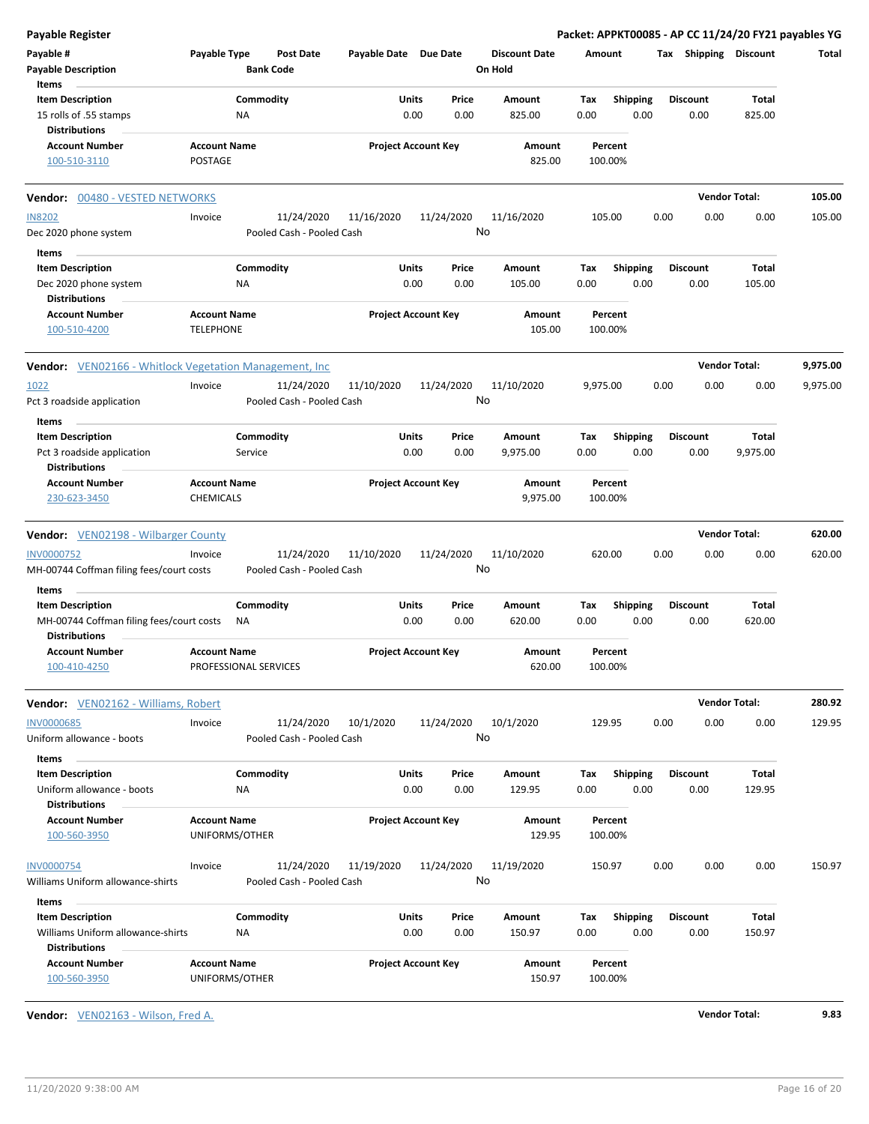| <b>Payable Register</b>                                                   |                                         |                               |                            |      |               |                                 |             |                         |      |                         | Packet: APPKT00085 - AP CC 11/24/20 FY21 payables YG |          |
|---------------------------------------------------------------------------|-----------------------------------------|-------------------------------|----------------------------|------|---------------|---------------------------------|-------------|-------------------------|------|-------------------------|------------------------------------------------------|----------|
| Payable #<br><b>Payable Description</b>                                   | Payable Type                            | Post Date<br><b>Bank Code</b> | Payable Date Due Date      |      |               | <b>Discount Date</b><br>On Hold | Amount      |                         |      | Tax Shipping Discount   |                                                      | Total    |
| Items                                                                     |                                         |                               |                            |      |               |                                 |             |                         |      |                         |                                                      |          |
| <b>Item Description</b><br>15 rolls of .55 stamps<br><b>Distributions</b> |                                         | Commodity<br>ΝA               | Units                      | 0.00 | Price<br>0.00 | Amount<br>825.00                | Tax<br>0.00 | Shipping<br>0.00        |      | <b>Discount</b><br>0.00 | Total<br>825.00                                      |          |
| <b>Account Number</b>                                                     | <b>Account Name</b>                     |                               | <b>Project Account Key</b> |      |               | Amount                          |             | Percent                 |      |                         |                                                      |          |
| 100-510-3110                                                              | <b>POSTAGE</b>                          |                               |                            |      |               | 825.00                          | 100.00%     |                         |      |                         |                                                      |          |
| Vendor: 00480 - VESTED NETWORKS                                           |                                         |                               |                            |      |               |                                 |             |                         |      |                         | <b>Vendor Total:</b>                                 | 105.00   |
| <b>IN8202</b>                                                             | Invoice                                 | 11/24/2020                    | 11/16/2020                 |      | 11/24/2020    | 11/16/2020                      | 105.00      |                         | 0.00 | 0.00                    | 0.00                                                 | 105.00   |
| Dec 2020 phone system                                                     |                                         | Pooled Cash - Pooled Cash     |                            |      |               | No                              |             |                         |      |                         |                                                      |          |
| Items                                                                     |                                         |                               |                            |      |               |                                 |             |                         |      |                         |                                                      |          |
| <b>Item Description</b>                                                   |                                         | Commodity                     | Units                      |      | Price         | Amount                          | Tax         | <b>Shipping</b>         |      | <b>Discount</b>         | Total                                                |          |
| Dec 2020 phone system<br><b>Distributions</b>                             |                                         | ΝA                            |                            | 0.00 | 0.00          | 105.00                          | 0.00        | 0.00                    |      | 0.00                    | 105.00                                               |          |
| <b>Account Number</b><br>100-510-4200                                     | <b>Account Name</b><br><b>TELEPHONE</b> |                               | <b>Project Account Key</b> |      |               | Amount<br>105.00                | 100.00%     | Percent                 |      |                         |                                                      |          |
| Vendor: VEN02166 - Whitlock Vegetation Management, Inc.                   |                                         |                               |                            |      |               |                                 |             |                         |      |                         | <b>Vendor Total:</b>                                 | 9,975.00 |
| 1022                                                                      | Invoice                                 | 11/24/2020                    | 11/10/2020                 |      | 11/24/2020    | 11/10/2020<br>No                | 9,975.00    |                         | 0.00 | 0.00                    | 0.00                                                 | 9,975.00 |
| Pct 3 roadside application                                                |                                         | Pooled Cash - Pooled Cash     |                            |      |               |                                 |             |                         |      |                         |                                                      |          |
| Items                                                                     |                                         |                               |                            |      |               |                                 |             |                         |      |                         |                                                      |          |
| <b>Item Description</b>                                                   |                                         | Commodity                     | Units                      |      | Price         | Amount                          | Tax         | <b>Shipping</b>         |      | <b>Discount</b>         | Total                                                |          |
| Pct 3 roadside application<br><b>Distributions</b>                        |                                         | Service                       |                            | 0.00 | 0.00          | 9,975.00                        | 0.00        | 0.00                    |      | 0.00                    | 9,975.00                                             |          |
| <b>Account Number</b>                                                     | <b>Account Name</b>                     |                               | <b>Project Account Key</b> |      |               | Amount                          |             | Percent                 |      |                         |                                                      |          |
| 230-623-3450                                                              | CHEMICALS                               |                               |                            |      |               | 9,975.00                        | 100.00%     |                         |      |                         |                                                      |          |
| <b>Vendor:</b> VEN02198 - Wilbarger County                                |                                         |                               |                            |      |               |                                 |             |                         |      |                         | <b>Vendor Total:</b>                                 | 620.00   |
| <b>INV0000752</b>                                                         | Invoice                                 | 11/24/2020                    | 11/10/2020                 |      | 11/24/2020    | 11/10/2020                      | 620.00      |                         | 0.00 | 0.00                    | 0.00                                                 | 620.00   |
| MH-00744 Coffman filing fees/court costs<br>Items                         |                                         | Pooled Cash - Pooled Cash     |                            |      |               | No                              |             |                         |      |                         |                                                      |          |
| <b>Item Description</b>                                                   |                                         | Commodity                     | Units                      |      | Price         | Amount                          | Tax         | <b>Shipping</b>         |      | <b>Discount</b>         | <b>Total</b>                                         |          |
| MH-00744 Coffman filing fees/court costs<br><b>Distributions</b>          |                                         | ΝA                            |                            | 0.00 | 0.00          | 620.00                          | 0.00        | 0.00                    |      | 0.00                    | 620.00                                               |          |
| <b>Account Number</b><br><u>100-410-4250</u>                              | <b>Account Name</b>                     | PROFESSIONAL SERVICES         | <b>Project Account Key</b> |      |               | Amount<br>620.00                | 100.00%     | Percent                 |      |                         |                                                      |          |
| <b>Vendor:</b> VEN02162 - Williams, Robert                                |                                         |                               |                            |      |               |                                 |             |                         |      |                         | <b>Vendor Total:</b>                                 | 280.92   |
| <b>INV0000685</b>                                                         | Invoice                                 | 11/24/2020                    | 10/1/2020                  |      | 11/24/2020    | 10/1/2020                       | 129.95      |                         | 0.00 | 0.00                    | 0.00                                                 | 129.95   |
| Uniform allowance - boots                                                 |                                         | Pooled Cash - Pooled Cash     |                            |      |               | No                              |             |                         |      |                         |                                                      |          |
| Items                                                                     |                                         |                               |                            |      |               |                                 |             |                         |      |                         |                                                      |          |
| <b>Item Description</b><br>Uniform allowance - boots                      |                                         | Commodity<br><b>NA</b>        | Units                      | 0.00 | Price<br>0.00 | Amount<br>129.95                | Tax<br>0.00 | <b>Shipping</b><br>0.00 |      | <b>Discount</b><br>0.00 | Total<br>129.95                                      |          |
| <b>Distributions</b>                                                      |                                         |                               |                            |      |               |                                 |             |                         |      |                         |                                                      |          |
| <b>Account Number</b><br>100-560-3950                                     | <b>Account Name</b>                     | UNIFORMS/OTHER                | <b>Project Account Key</b> |      |               | Amount<br>129.95                | 100.00%     | Percent                 |      |                         |                                                      |          |
| <b>INV0000754</b>                                                         | Invoice                                 | 11/24/2020                    | 11/19/2020                 |      | 11/24/2020    | 11/19/2020                      | 150.97      |                         | 0.00 | 0.00                    | 0.00                                                 | 150.97   |
| Williams Uniform allowance-shirts                                         |                                         | Pooled Cash - Pooled Cash     |                            |      |               | No                              |             |                         |      |                         |                                                      |          |
| Items                                                                     |                                         |                               |                            |      |               |                                 |             |                         |      |                         |                                                      |          |
| <b>Item Description</b>                                                   |                                         | Commodity                     | Units                      |      | Price         | Amount                          | Tax         | <b>Shipping</b>         |      | <b>Discount</b>         | Total                                                |          |
| Williams Uniform allowance-shirts<br><b>Distributions</b>                 |                                         | <b>NA</b>                     |                            | 0.00 | 0.00          | 150.97                          | 0.00        | 0.00                    |      | 0.00                    | 150.97                                               |          |
| <b>Account Number</b><br>100-560-3950                                     | <b>Account Name</b>                     | UNIFORMS/OTHER                | <b>Project Account Key</b> |      |               | Amount<br>150.97                | 100.00%     | Percent                 |      |                         |                                                      |          |

**Vendor:** VEN02163 - Wilson, Fred A. **Vendor Total: 9.83**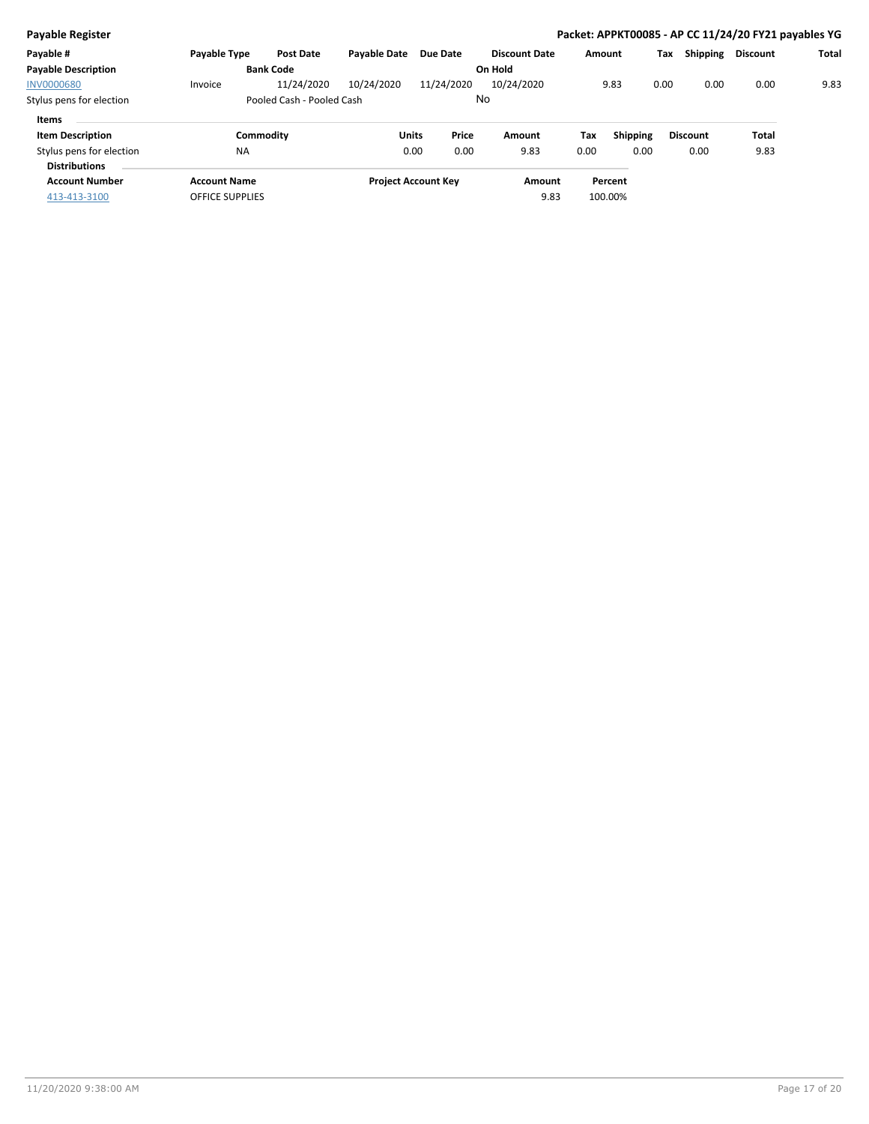| <b>Payable Register</b>                          |                        |                           |                     |                            |                      |         |          |      |                 | Packet: APPKT00085 - AP CC 11/24/20 FY21 payables YG |              |
|--------------------------------------------------|------------------------|---------------------------|---------------------|----------------------------|----------------------|---------|----------|------|-----------------|------------------------------------------------------|--------------|
| Payable #                                        | Payable Type           | <b>Post Date</b>          | <b>Payable Date</b> | Due Date                   | <b>Discount Date</b> | Amount  |          | Tax  | Shipping        | <b>Discount</b>                                      | <b>Total</b> |
| <b>Payable Description</b>                       |                        | <b>Bank Code</b>          |                     |                            | On Hold              |         |          |      |                 |                                                      |              |
| <b>INV0000680</b>                                | Invoice                | 11/24/2020                | 10/24/2020          | 11/24/2020                 | 10/24/2020           |         | 9.83     | 0.00 | 0.00            | 0.00                                                 | 9.83         |
| Stylus pens for election                         |                        | Pooled Cash - Pooled Cash |                     | No                         |                      |         |          |      |                 |                                                      |              |
| Items                                            |                        |                           |                     |                            |                      |         |          |      |                 |                                                      |              |
| <b>Item Description</b>                          | Commodity              |                           | Units               | Price                      | Amount               | Tax     | Shipping |      | <b>Discount</b> | Total                                                |              |
| Stylus pens for election<br><b>Distributions</b> | <b>NA</b>              |                           |                     | 0.00<br>0.00               | 9.83                 | 0.00    | 0.00     |      | 0.00            | 9.83                                                 |              |
| <b>Account Number</b>                            | <b>Account Name</b>    |                           |                     | <b>Project Account Key</b> | Amount               |         | Percent  |      |                 |                                                      |              |
| 413-413-3100                                     | <b>OFFICE SUPPLIES</b> |                           |                     |                            | 9.83                 | 100.00% |          |      |                 |                                                      |              |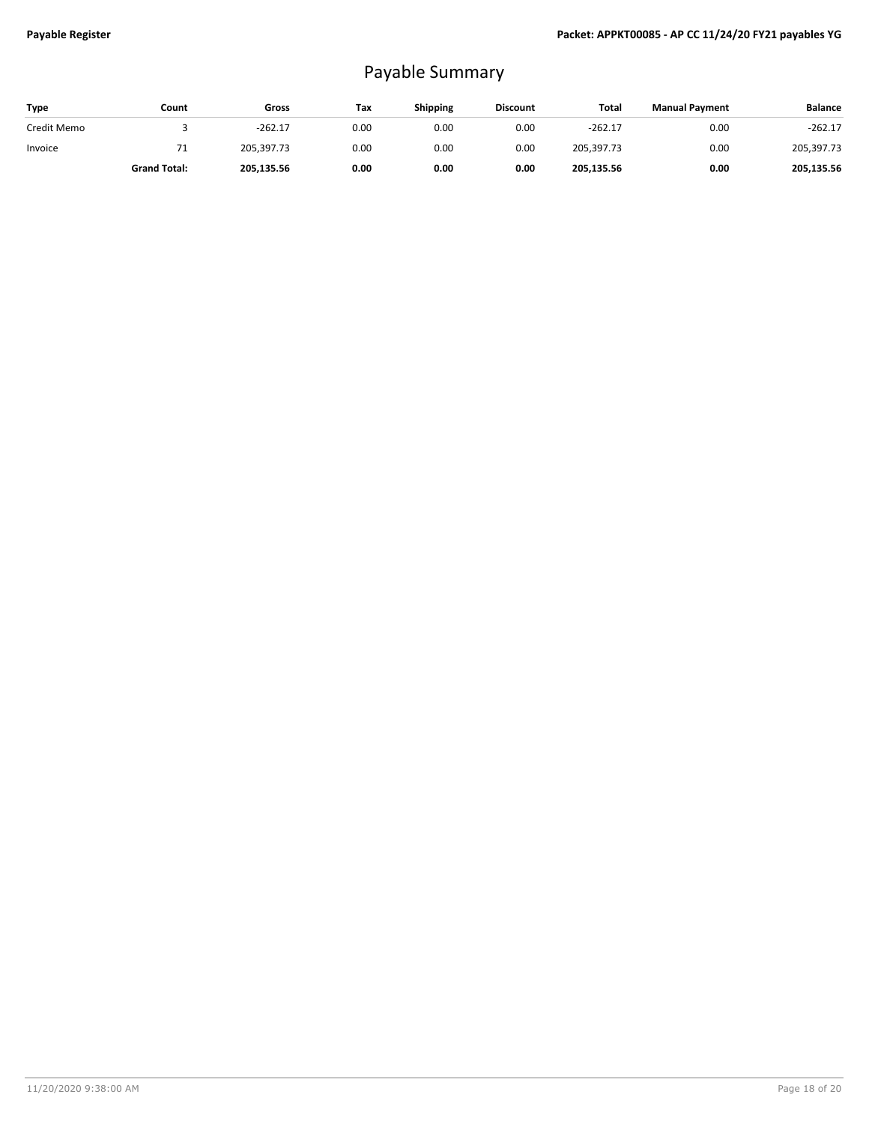## Payable Summary

| Type        | Count               | Gross      | Tax  | <b>Shipping</b> | <b>Discount</b> | Total      | <b>Manual Payment</b> | <b>Balance</b> |
|-------------|---------------------|------------|------|-----------------|-----------------|------------|-----------------------|----------------|
| Credit Memo |                     | $-262.17$  | 0.00 | 0.00            | 0.00            | $-262.17$  | 0.00                  | $-262.17$      |
| Invoice     | . .                 | 205.397.73 | 0.00 | 0.00            | 0.00            | 205,397.73 | 0.00                  | 205,397.73     |
|             | <b>Grand Total:</b> | 205,135.56 | 0.00 | 0.00            | 0.00            | 205,135.56 | 0.00                  | 205,135.56     |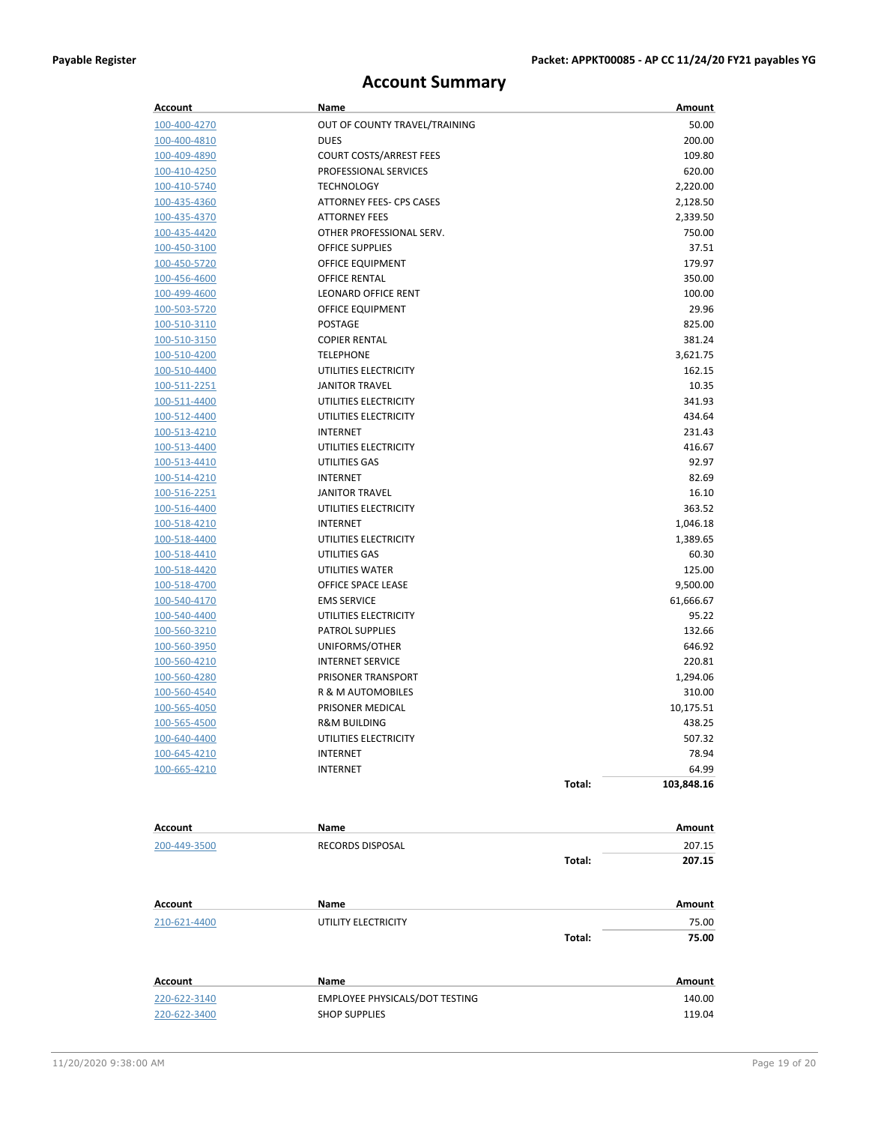### **Account Summary**

| Account             | Name                           |        | Amount     |
|---------------------|--------------------------------|--------|------------|
| 100-400-4270        | OUT OF COUNTY TRAVEL/TRAINING  |        | 50.00      |
| 100-400-4810        | <b>DUES</b>                    |        | 200.00     |
| 100-409-4890        | <b>COURT COSTS/ARREST FEES</b> |        | 109.80     |
| 100-410-4250        | PROFESSIONAL SERVICES          |        | 620.00     |
| 100-410-5740        | <b>TECHNOLOGY</b>              |        | 2,220.00   |
| 100-435-4360        | ATTORNEY FEES- CPS CASES       |        | 2,128.50   |
| 100-435-4370        | <b>ATTORNEY FEES</b>           |        | 2,339.50   |
| 100-435-4420        | OTHER PROFESSIONAL SERV.       |        | 750.00     |
| 100-450-3100        | <b>OFFICE SUPPLIES</b>         |        | 37.51      |
| 100-450-5720        | OFFICE EQUIPMENT               |        | 179.97     |
| 100-456-4600        | <b>OFFICE RENTAL</b>           |        | 350.00     |
| 100-499-4600        | <b>LEONARD OFFICE RENT</b>     |        | 100.00     |
| 100-503-5720        | OFFICE EQUIPMENT               |        | 29.96      |
| 100-510-3110        | POSTAGE                        |        | 825.00     |
| 100-510-3150        | <b>COPIER RENTAL</b>           |        | 381.24     |
| 100-510-4200        | <b>TELEPHONE</b>               |        | 3,621.75   |
| 100-510-4400        | UTILITIES ELECTRICITY          |        | 162.15     |
| 100-511-2251        | <b>JANITOR TRAVEL</b>          |        | 10.35      |
| 100-511-4400        | UTILITIES ELECTRICITY          |        | 341.93     |
| 100-512-4400        | UTILITIES ELECTRICITY          |        | 434.64     |
| <u>100-513-4210</u> | <b>INTERNET</b>                |        | 231.43     |
| 100-513-4400        | UTILITIES ELECTRICITY          |        | 416.67     |
| 100-513-4410        | <b>UTILITIES GAS</b>           |        | 92.97      |
| 100-514-4210        | <b>INTERNET</b>                |        | 82.69      |
| 100-516-2251        | <b>JANITOR TRAVEL</b>          |        | 16.10      |
| 100-516-4400        | UTILITIES ELECTRICITY          |        | 363.52     |
| 100-518-4210        | <b>INTERNET</b>                |        | 1,046.18   |
| 100-518-4400        | UTILITIES ELECTRICITY          |        | 1,389.65   |
| 100-518-4410        | UTILITIES GAS                  |        | 60.30      |
| 100-518-4420        | UTILITIES WATER                |        | 125.00     |
| 100-518-4700        | OFFICE SPACE LEASE             |        | 9,500.00   |
| 100-540-4170        | <b>EMS SERVICE</b>             |        | 61,666.67  |
| 100-540-4400        | UTILITIES ELECTRICITY          |        | 95.22      |
| 100-560-3210        | <b>PATROL SUPPLIES</b>         |        | 132.66     |
| 100-560-3950        | UNIFORMS/OTHER                 |        | 646.92     |
| 100-560-4210        | <b>INTERNET SERVICE</b>        |        | 220.81     |
| 100-560-4280        | PRISONER TRANSPORT             |        | 1,294.06   |
| 100-560-4540        | R & M AUTOMOBILES              |        | 310.00     |
| 100-565-4050        | PRISONER MEDICAL               |        | 10,175.51  |
| 100-565-4500        | <b>R&amp;M BUILDING</b>        |        | 438.25     |
| 100-640-4400        | UTILITIES ELECTRICITY          |        | 507.32     |
| 100-645-4210        | INTERNET                       |        | 78.94      |
| 100-665-4210        | <b>INTERNET</b>                |        | 64.99      |
|                     |                                | Total: | 103,848.16 |
| Account             | Name                           |        | Amount     |
| 200-449-3500        |                                |        | 207.15     |
|                     | RECORDS DISPOSAL               | Total: | 207.15     |
|                     |                                |        |            |
| Account             | Name                           |        | Amount     |
| 210-621-4400        | UTILITY ELECTRICITY            |        | 75.00      |
|                     |                                | Total: | 75.00      |
|                     |                                |        |            |
| Account             | Name                           |        | Amount     |
| 220-622-3140        | EMPLOYEE PHYSICALS/DOT TESTING |        | 140.00     |
| 220-622-3400        | <b>SHOP SUPPLIES</b>           |        | 119.04     |